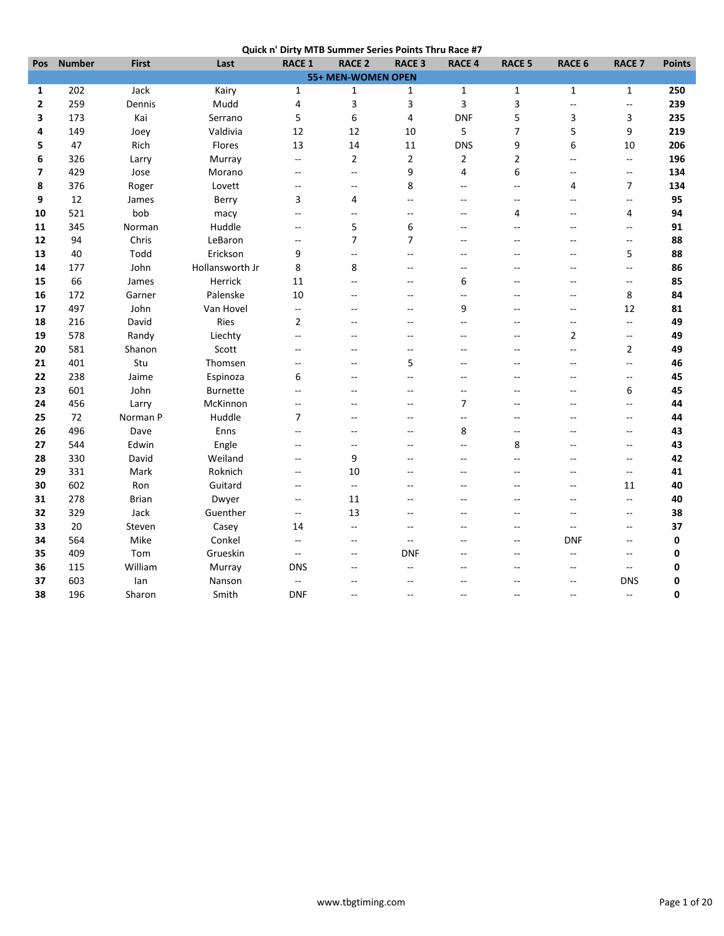|  | Quick n' Dirty MTB Summer Series Points Thru Race #7 |
|--|------------------------------------------------------|
|  |                                                      |

| Pos                | <b>Number</b> | <b>First</b> | Last            | <b>RACE 1</b>            | <b>RACE 2</b>            | <b>RACE 3</b>            | <b>RACE 4</b>            | <b>RACE 5</b>  | <b>RACE 6</b>            | <b>RACE 7</b>            | <b>Points</b> |
|--------------------|---------------|--------------|-----------------|--------------------------|--------------------------|--------------------------|--------------------------|----------------|--------------------------|--------------------------|---------------|
| 55+ MEN-WOMEN OPEN |               |              |                 |                          |                          |                          |                          |                |                          |                          |               |
| 1                  | 202           | Jack         | Kairy           | $\mathbf{1}$             | 1                        | 1                        | $\mathbf{1}$             | $\mathbf 1$    | $\mathbf{1}$             | $\mathbf{1}$             | 250           |
| 2                  | 259           | Dennis       | Mudd            | 4                        | 3                        | 3                        | 3                        | 3              | $\overline{a}$           | $\overline{a}$           | 239           |
| 3                  | 173           | Kai          | Serrano         | 5                        | 6                        | $\overline{4}$           | <b>DNF</b>               | 5              | 3                        | 3                        | 235           |
| 4                  | 149           | Joey         | Valdivia        | 12                       | 12                       | 10                       | 5                        | $\overline{7}$ | 5                        | 9                        | 219           |
| 5                  | 47            | Rich         | Flores          | 13                       | 14                       | 11                       | <b>DNS</b>               | 9              | 6                        | 10                       | 206           |
| 6                  | 326           | Larry        | Murray          | $\overline{\phantom{a}}$ | $\overline{2}$           | $\overline{2}$           | $\overline{2}$           | $\overline{2}$ | $\mathbf{u}$             | $\overline{\phantom{a}}$ | 196           |
| 7                  | 429           | Jose         | Morano          | $\overline{\phantom{a}}$ | --                       | 9                        | 4                        | 6              | $-$                      | Ξ.                       | 134           |
| 8                  | 376           | Roger        | Lovett          | $\overline{a}$           | $\overline{a}$           | 8                        | $\sim$                   | $\sim$         | 4                        | 7                        | 134           |
| 9                  | 12            | James        | Berry           | 3                        | 4                        | $\sim$                   | $\sim$                   | $\sim$         | $\overline{a}$           | $\overline{a}$           | 95            |
| 10                 | 521           | bob          | macy            | $\overline{\phantom{a}}$ | $\overline{\phantom{a}}$ | $\overline{a}$           | $\overline{a}$           | $\overline{4}$ | --                       | 4                        | 94            |
| 11                 | 345           | Norman       | Huddle          | $\overline{a}$           | 5                        | 6                        | $\sim$                   | $\sim$         | $\sim$                   | $\overline{\phantom{a}}$ | 91            |
| 12                 | 94            | Chris        | LeBaron         | $\mathbf{u}$             | $\overline{7}$           | $\overline{7}$           | $\sim$                   | $-$            | $-$                      | $\overline{\phantom{a}}$ | 88            |
| 13                 | 40            | Todd         | Erickson        | 9                        | --                       | $\overline{a}$           | $\overline{a}$           | $\overline{a}$ | --                       | 5                        | 88            |
| 14                 | 177           | John         | Hollansworth Jr | 8                        | 8                        | $\overline{a}$           | $\overline{a}$           | $\sim$         | $-$                      | Ξ.                       | 86            |
| 15                 | 66            | James        | Herrick         | 11                       | $\overline{\phantom{a}}$ | $\overline{a}$           | 6                        |                | $-$                      | $-$                      | 85            |
| 16                 | 172           | Garner       | Palenske        | 10                       | $-$                      | $\overline{a}$           | $\sim$                   | $\sim$         | $\overline{a}$           | 8                        | 84            |
| 17                 | 497           | John         | Van Hovel       | $\overline{\phantom{a}}$ | $-$                      | $\overline{a}$           | 9                        | $-$            | --                       | 12                       | 81            |
| 18                 | 216           | David        | Ries            | $\overline{2}$           | $\overline{a}$           |                          |                          |                | $\overline{a}$           | $\overline{\phantom{a}}$ | 49            |
| 19                 | 578           | Randy        | Liechty         | $-$                      | $-$                      | $\sim$                   | $\sim$                   | $-$            | 2                        | Ξ.                       | 49            |
| 20                 | 581           | Shanon       | Scott           | $\overline{\phantom{a}}$ | $-$                      | $\overline{\phantom{a}}$ | $\sim$                   | $-$            | Щ,                       | $\mathbf{2}$             | 49            |
| 21                 | 401           | Stu          | Thomsen         | $\overline{a}$           | $\overline{a}$           | 5                        |                          | $-$            | --                       | Щ,                       | 46            |
| 22                 | 238           | Jaime        | Espinoza        | 6                        | $\overline{\phantom{a}}$ | Ξ.                       | $\overline{a}$           |                | --                       | $-$                      | 45            |
| 23                 | 601           | John         | <b>Burnette</b> | Ξ.                       | $-$                      | $\sim$                   | $\sim$                   | $\sim$         | --                       | 6                        | 45            |
| 24                 | 456           | Larry        | McKinnon        | $-$                      | $\overline{a}$           | $\sim$                   | $\overline{7}$           | $-$            | Ξ.                       | $\overline{a}$           | 44            |
| 25                 | 72            | Norman P     | Huddle          | 7                        | $\overline{a}$           | $\overline{a}$           | $\overline{\phantom{a}}$ | $-$            | --                       | --                       | 44            |
| 26                 | 496           | Dave         | Enns            | $\overline{a}$           | $\overline{a}$           | $\overline{a}$           | 8                        | --             | $\overline{a}$           | --                       | 43            |
| 27                 | 544           | Edwin        | Engle           | $-$                      | --                       | $\overline{a}$           | $\overline{a}$           | 8              | --                       | --                       | 43            |
| 28                 | 330           | David        | Weiland         | $\overline{\phantom{a}}$ | 9                        |                          | $\sim$                   | $\sim$         | $-$                      | $\overline{a}$           | 42            |
| 29                 | 331           | Mark         | Roknich         | $\overline{\phantom{a}}$ | 10                       |                          | $\sim$                   | $\sim$         | --                       | $\qquad \qquad -$        | 41            |
| 30                 | 602           | Ron          | Guitard         | $\overline{\phantom{a}}$ | $\overline{\phantom{a}}$ | $-$                      | $\overline{a}$           | $-$            | Ξ.                       | 11                       | 40            |
| 31                 | 278           | <b>Brian</b> | Dwyer           | $\overline{\phantom{a}}$ | 11                       | $\sim$                   | $\sim$                   | $\sim$         | $\sim$                   | $\overline{\phantom{a}}$ | 40            |
| 32                 | 329           | Jack         | Guenther        | $\overline{\phantom{a}}$ | 13                       |                          |                          |                | Ξ.                       | --                       | 38            |
| 33                 | 20            | Steven       | Casey           | 14                       | $\overline{\phantom{a}}$ | $\overline{a}$           | $\overline{a}$           | --             | $\overline{\phantom{a}}$ | $\overline{a}$           | 37            |
| 34                 | 564           | Mike         | Conkel          | ۰.                       | --                       | $\overline{a}$           | --                       | $\overline{a}$ | <b>DNF</b>               | $\overline{\phantom{a}}$ | 0             |
| 35                 | 409           | Tom          | Grueskin        | Ξ.                       | $-$                      | <b>DNF</b>               |                          | $-$            | 44                       | $\overline{a}$           | 0             |
| 36                 | 115           | William      | Murray          | <b>DNS</b>               | $-$                      | $\sim$                   | $\sim$                   | $\sim$         | $\overline{a}$           | $-$                      | 0             |
| 37                 | 603           | lan          | Nanson          | $\overline{\phantom{a}}$ | --                       | $\overline{a}$           |                          | $-$            | --                       | <b>DNS</b>               | 0             |
| 38                 | 196           |              | Smith           | <b>DNF</b>               | $\overline{a}$           | $\overline{a}$           | $\sim$                   | $-$            | $\overline{a}$           | $\overline{\phantom{a}}$ | 0             |
|                    |               | Sharon       |                 |                          |                          |                          |                          |                |                          |                          |               |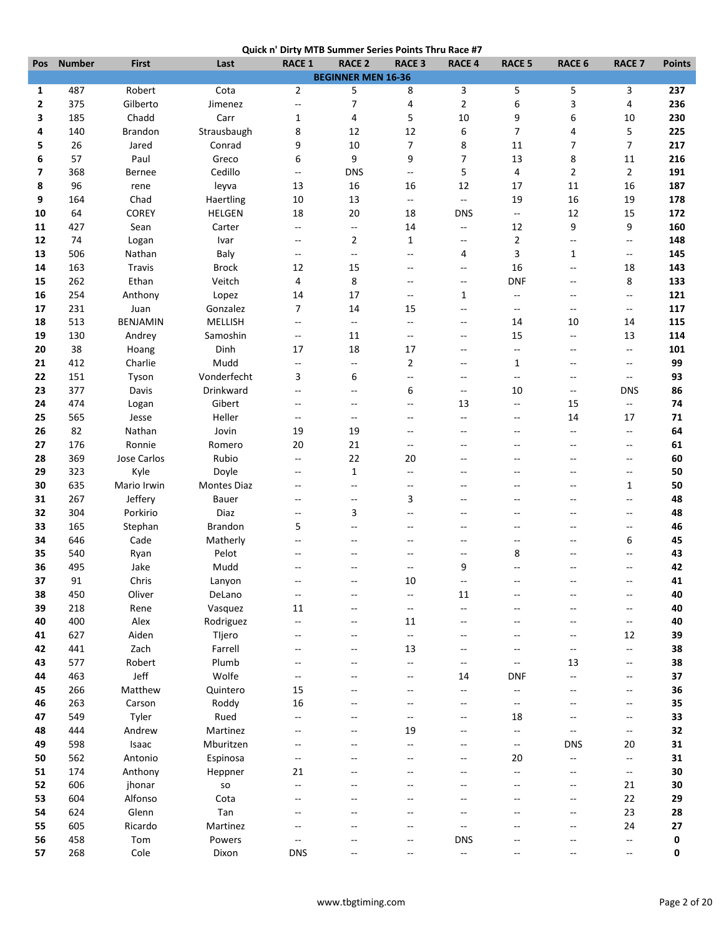| Pos                      | <b>Number</b> | <b>First</b>     | Last              | <b>RACE 1</b>                                       | <b>RACE 2</b>             | <b>RACE 3</b>            | <b>RACE 4</b>               | <b>RACE 5</b>                                 | <b>RACE 6</b>  | <b>RACE 7</b>                  | <b>Points</b> |
|--------------------------|---------------|------------------|-------------------|-----------------------------------------------------|---------------------------|--------------------------|-----------------------------|-----------------------------------------------|----------------|--------------------------------|---------------|
|                          |               |                  |                   |                                                     | <b>BEGINNER MEN 16-36</b> |                          |                             |                                               |                |                                |               |
| 1                        | 487           | Robert           | Cota              | $\overline{2}$                                      | 5                         | 8                        | 3                           | 5                                             | 5              | 3                              | 237           |
| 2                        | 375           | Gilberto         | Jimenez           | ۰.                                                  | $\overline{\phantom{a}}$  | 4                        | 2                           | 6                                             | 3              | 4                              | 236           |
| 3                        | 185           | Chadd            | Carr              | 1                                                   | 4                         | 5                        | 10                          | 9                                             | 6              | 10                             | 230           |
| 4                        | 140           | Brandon          | Strausbaugh       | 8                                                   | 12                        | 12                       | 6                           | 7                                             | 4              | 5                              | 225           |
| 5                        | 26            | Jared            | Conrad            | 9                                                   | 10                        | 7                        | 8                           | 11                                            | 7              | $\overline{7}$                 | 217           |
| 6                        | 57            | Paul             | Greco             | 6                                                   | 9                         | 9                        | 7                           | 13                                            | 8              | 11                             | 216           |
| $\overline{\phantom{a}}$ | 368           | <b>Bernee</b>    | Cedillo           | $\overline{\phantom{a}}$                            | <b>DNS</b>                | $\overline{\phantom{a}}$ | 5                           | 4                                             | 2              | $\overline{2}$                 | 191           |
| 8                        | 96            | rene             | leyva             | 13                                                  | 16                        | 16                       | 12                          | 17                                            | 11             | 16                             | 187           |
| 9                        | 164           | Chad             | Haertling         | 10                                                  | 13                        | $\overline{\phantom{a}}$ | Ξ.                          | 19                                            | 16             | 19                             | 178           |
| 10                       | 64            | COREY            | <b>HELGEN</b>     | 18                                                  | 20                        | 18                       | <b>DNS</b>                  | $\overline{\phantom{a}}$                      | 12             | 15                             | 172           |
| 11                       | 427           | Sean             | Carter            | $\overline{\phantom{a}}$                            | $\overline{\phantom{a}}$  | 14                       | --                          | 12                                            | 9              | 9                              | 160           |
| 12                       | 74            | Logan            | Ivar              | --                                                  | $\overline{2}$            | $\mathbf{1}$             | $\overline{\phantom{a}}$    | $\overline{2}$                                | Ξ.             | Ξ.                             | 148           |
| 13                       | 506           | Nathan           | Baly              | $\overline{\phantom{a}}$                            | $\overline{\phantom{a}}$  | $\overline{a}$           | 4                           | 3                                             | $\mathbf{1}$   | $\overline{\phantom{a}}$       | 145           |
| 14                       | 163           | Travis           | <b>Brock</b>      | 12                                                  | 15                        | --                       | --                          | 16                                            | --             | 18                             | 143           |
| 15<br>16                 | 262<br>254    | Ethan            | Veitch            | 4                                                   | 8<br>17                   | --<br>$\overline{a}$     | $\overline{\phantom{a}}$    | <b>DNF</b><br>--                              | --<br>$-$      | 8<br>$\overline{\phantom{a}}$  | 133           |
| 17                       | 231           | Anthony<br>Juan  | Lopez<br>Gonzalez | 14<br>7                                             | 14                        | 15                       | $\mathbf{1}$<br>--          | $\overline{\phantom{a}}$                      | $\overline{a}$ | $\overline{\phantom{a}}$       | 121<br>117    |
| 18                       | 513           | <b>BENJAMIN</b>  | MELLISH           | $\overline{\phantom{a}}$                            | $\overline{\phantom{a}}$  | $-$                      | $\overline{\phantom{a}}$    | 14                                            | 10             | 14                             | 115           |
|                          |               |                  | Samoshin          |                                                     |                           | $-$                      | $\overline{a}$              |                                               | Ξ.             |                                |               |
| 19<br>20                 | 130<br>38     | Andrey           | Dinh              | $\overline{\phantom{a}}$<br>17                      | 11<br>18                  | 17                       | --                          | 15<br>$\overline{\phantom{a}}$                | --             | 13<br>$\overline{\phantom{a}}$ | 114<br>101    |
| 21                       | 412           | Hoang<br>Charlie | Mudd              | $-$                                                 | $\overline{\phantom{a}}$  | $\overline{2}$           | $\overline{\phantom{a}}$    | 1                                             | $-$            | $\overline{\phantom{a}}$       | 99            |
| 22                       | 151           | Tyson            | Vonderfecht       | 3                                                   | 6                         | ÷÷                       | $\sim$ $\sim$               | $\mathbf{u}$                                  | $-$            | $\overline{\phantom{a}}$       | 93            |
| 23                       | 377           | Davis            | Drinkward         | $\overline{\phantom{a}}$                            | $\overline{\phantom{a}}$  | 6                        | $\overline{\phantom{a}}$    | 10                                            | --             | <b>DNS</b>                     | 86            |
| 24                       | 474           | Logan            | Gibert            | $\hspace{0.05cm} -\hspace{0.05cm} -\hspace{0.05cm}$ | $-\!$                     | --                       | 13                          | $\overline{\phantom{a}}$                      | 15             | ۰.                             | 74            |
| 25                       | 565           | Jesse            | Heller            | --                                                  | $\overline{\phantom{a}}$  | $\overline{\phantom{a}}$ | $\overline{\phantom{a}}$    | --                                            | 14             | 17                             | 71            |
| 26                       | 82            | Nathan           | Jovin             | 19                                                  | 19                        | $-$                      | $-$                         | $-$                                           | 44             | --                             | 64            |
| 27                       | 176           | Ronnie           | Romero            | 20                                                  | 21                        | $\overline{\phantom{a}}$ | $\overline{a}$              | $-$                                           | $-$            | $\overline{\phantom{a}}$       | 61            |
| 28                       | 369           | Jose Carlos      | Rubio             | $\overline{\phantom{a}}$                            | 22                        | 20                       | $\overline{a}$              | --                                            | $\overline{a}$ | $\overline{\phantom{a}}$       | 60            |
| 29                       | 323           | Kyle             | Doyle             | $\overline{\phantom{a}}$                            | $\mathbf{1}$              | $\overline{a}$           |                             |                                               | $-$            | $\overline{\phantom{a}}$       | 50            |
| 30                       | 635           | Mario Irwin      | Montes Diaz       | $-$                                                 | $\overline{\phantom{a}}$  | $\overline{a}$           | --                          | --                                            | $\overline{a}$ | 1                              | 50            |
| 31                       | 267           | Jeffery          | Bauer             | $\overline{a}$                                      | $\overline{\phantom{a}}$  | 3                        | $-$                         | $-$                                           | Ξ.             | $\overline{\phantom{a}}$       | 48            |
| 32                       | 304           | Porkirio         | Diaz              | $\overline{\phantom{a}}$                            | 3                         | $\overline{a}$           | --                          | --                                            | --             | $-$                            | 48            |
| 33                       | 165           | Stephan          | Brandon           | 5                                                   | --                        |                          |                             |                                               | --             | --                             | 46            |
| 34                       | 646           | Cade             | Matherly          | --                                                  |                           |                          | --                          | $-$                                           | $\overline{a}$ | 6                              | 45            |
| 35                       | 540           | Ryan             | Pelot             |                                                     |                           |                          | --                          | 8                                             | $\overline{a}$ | --                             | 43            |
| 36                       | 495           | Jake             | Mudd              |                                                     |                           | --                       | 9                           |                                               |                | --                             | 42            |
| 37                       | 91            | Chris            | Lanyon            |                                                     |                           | 10                       | --                          |                                               |                |                                | 41            |
| 38                       | 450           | Oliver           | DeLano            | --                                                  | --                        | $-\hbox{--}$             | $11\,$                      |                                               |                | --                             | 40            |
| 39                       | 218           | Rene             | Vasquez           | $11\,$                                              |                           | $\overline{\phantom{a}}$ | $\overline{\phantom{a}}$    |                                               |                | $-\, -$                        | 40            |
| 40                       | 400           | Alex             | Rodriguez         | ۰.                                                  | ٠.                        | 11                       | $-$                         | $-$                                           | --             | $\overline{\phantom{a}}$       | 40            |
| 41                       | 627           | Aiden            | Tljero            |                                                     |                           | $\overline{\phantom{a}}$ |                             |                                               | --             | 12                             | 39            |
| 42                       | 441           | Zach             | Farrell           |                                                     |                           | 13                       |                             |                                               | --             | Ξ.                             | 38            |
| 43                       | 577           | Robert           | Plumb             | $-$                                                 |                           | --                       | --                          | $\overline{\phantom{a}}$                      | 13             | $\overline{\phantom{a}}$       | 38            |
| 44                       | 463           | Jeff             | Wolfe             | $-$                                                 | $-$                       | $\overline{a}$           | 14                          | <b>DNF</b>                                    | --             | $\qquad \qquad -$              | 37            |
| 45                       | 266           | Matthew          | Quintero          | 15                                                  |                           |                          | --                          | $\overline{\phantom{a}}$                      | --             | --                             | 36            |
| 46                       | 263           | Carson           | Roddy             | 16                                                  |                           |                          | --                          | $\overline{\phantom{a}}$                      | --             | --                             | 35            |
| 47                       | 549           | Tyler            | Rued              | $\overline{\phantom{a}}$                            |                           | --                       | --                          | 18                                            | $-$            | --                             | 33            |
| 48                       | 444           | Andrew           | Martinez          | $-$                                                 |                           | 19                       |                             | Ξ.                                            | --             | $\overline{a}$                 | 32            |
| 49                       | 598           | Isaac            | Mburitzen         | $\overline{a}$                                      |                           | $\overline{a}$           | --                          | $\mathord{\hspace{1pt}\text{--}\hspace{1pt}}$ | <b>DNS</b>     | 20                             | 31            |
| 50                       | 562           | Antonio          | Espinosa          | $-\!$                                               |                           | $-$                      | --                          | 20                                            | Ξ.             | --                             | 31            |
| 51                       | 174           | Anthony          | Heppner           | 21                                                  |                           |                          |                             | --                                            | --             | --                             | 30            |
| 52                       | 606           | jhonar           | SO                | $\overline{a}$                                      |                           |                          |                             |                                               | --             | 21                             | 30            |
| 53                       | 604           | Alfonso          | Cota              | $\overline{a}$                                      |                           |                          |                             |                                               | $-$            | 22                             | 29            |
| 54                       | 624           | Glenn            | Tan               | --                                                  | ۵.                        |                          |                             |                                               | --             | 23                             | 28            |
| 55                       | 605           | Ricardo          | Martinez          |                                                     | ٠.                        |                          | --                          |                                               |                | 24                             | $\bf 27$      |
| 56                       | 458           | Tom              | Powers            | $-\!$                                               |                           |                          | <b>DNS</b>                  |                                               | --             | $\qquad \qquad -$              | 0             |
| 57                       | 268           | Cole             | Dixon             | <b>DNS</b>                                          | --                        | --                       | $\mathcal{L}_{\mathcal{F}}$ |                                               | --             | --                             | 0             |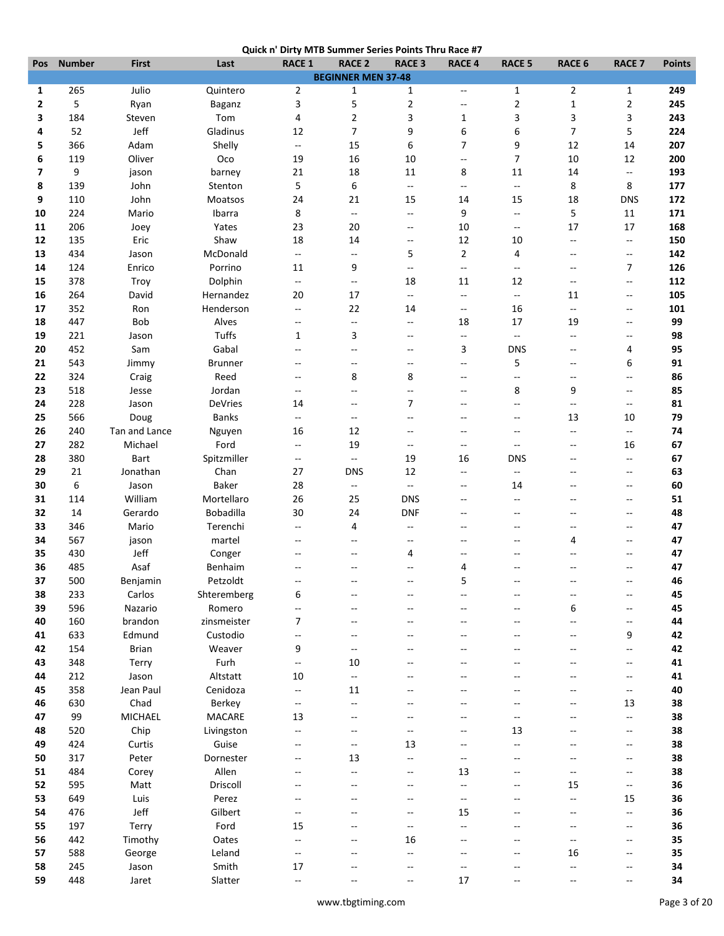|                                                                                                     | <b>RACE 2</b>             | <b>RACE 3</b>                  | <b>RACE 4</b>            | <b>RACE 5</b>                                       | <b>RACE 6</b>            | <b>RACE 7</b>                                       | <b>Points</b> |
|-----------------------------------------------------------------------------------------------------|---------------------------|--------------------------------|--------------------------|-----------------------------------------------------|--------------------------|-----------------------------------------------------|---------------|
|                                                                                                     | <b>BEGINNER MEN 37-48</b> |                                |                          |                                                     |                          |                                                     |               |
| Julio<br>265<br>Quintero<br>$\overline{2}$<br>1                                                     | $\mathbf 1$               | $\mathbf{1}$                   | $\overline{\phantom{a}}$ | $\mathbf{1}$                                        | 2                        | $\mathbf{1}$                                        | 249           |
| 5<br>Ryan<br>3<br>2<br>Baganz                                                                       | 5                         | $\overline{2}$                 | $\overline{\phantom{a}}$ | $\overline{2}$                                      | $\mathbf{1}$             | $\overline{2}$                                      | 245           |
| 184<br>Tom<br>4<br>3<br>Steven                                                                      | $\overline{2}$            | 3                              | $\mathbf{1}$             | 3                                                   | 3                        | 3                                                   | 243           |
| 52<br>Jeff<br>Gladinus<br>4<br>12                                                                   | $\overline{7}$            | 9                              | 6                        | 6                                                   | $\overline{7}$           | 5                                                   | 224           |
| 366<br>Adam<br>Shelly<br>5<br>۰.                                                                    | 15                        | 6                              | 7                        | 9                                                   | 12                       | 14                                                  | 207           |
| Oliver<br>6<br>119<br>Oco<br>19                                                                     | 16                        | 10                             | $\qquad \qquad -$        | 7                                                   | 10                       | 12                                                  | 200           |
| 9<br>$\overline{\phantom{a}}$<br>21<br>barney<br>jason                                              | 18                        | 11                             | 8                        | 11                                                  | 14                       | $\overline{a}$                                      | 193           |
| 139<br>5<br>John<br>Stenton<br>8<br>110<br>John<br>24<br>9                                          | 6<br>21                   | $\overline{\phantom{a}}$<br>15 | $\sim$ $\sim$            | $\mathord{\hspace{1pt}\text{--}\hspace{1pt}}$<br>15 | 8<br>18                  | 8<br><b>DNS</b>                                     | 177<br>172    |
| Moatsos<br>8<br>224<br>Ibarra<br>10<br>Mario                                                        | $\overline{\phantom{a}}$  | --                             | 14<br>9                  | --                                                  | 5                        | 11                                                  | 171           |
| 206<br>Yates<br>23<br>11<br>Joey                                                                    | 20                        | --                             | 10                       | $\overline{\phantom{a}}$                            | 17                       | 17                                                  | 168           |
| 18<br>135<br>Eric<br>Shaw<br>12                                                                     | 14                        | $\overline{\phantom{a}}$       | 12                       | 10                                                  | $\overline{\phantom{a}}$ | Ξ.                                                  | 150           |
| 434<br>McDonald<br>13<br>Jason<br>$\overline{\phantom{a}}$                                          | $\qquad \qquad -$         | 5                              | $\overline{2}$           | 4                                                   | --                       | $-$                                                 | 142           |
| Porrino<br>124<br>Enrico<br>14<br>11                                                                | 9                         | $\overline{\phantom{a}}$       | $\overline{\phantom{a}}$ | $\overline{\phantom{a}}$                            | --                       | 7                                                   | 126           |
| Dolphin<br>378<br>15<br>Troy<br>$\overline{\phantom{a}}$                                            | $\overline{\phantom{a}}$  | 18                             | 11                       | 12                                                  | --                       | --                                                  | 112           |
| 16<br>264<br>Hernandez<br>20<br>David                                                               | 17                        | --                             | $\overline{\phantom{a}}$ | $\overline{\phantom{a}}$                            | 11                       | $\overline{\phantom{a}}$                            | 105           |
| 352<br>Henderson<br>17<br>Ron<br>--                                                                 | 22                        | 14                             | $\overline{\phantom{a}}$ | 16                                                  | $\overline{\phantom{a}}$ | $\overline{\phantom{a}}$                            | 101           |
| 447<br>Bob<br>Alves<br>18<br>$-\!$                                                                  | $\overline{\phantom{a}}$  | $\overline{\phantom{a}}$       | 18                       | 17                                                  | 19                       | $\overline{\phantom{a}}$                            | 99            |
| Tuffs<br>221<br>$\mathbf{1}$<br>19<br>Jason                                                         | 3                         | $-$                            | $\overline{\phantom{a}}$ | $\sim$                                              | $\overline{a}$           | $\hspace{0.05cm} -\hspace{0.05cm} -\hspace{0.05cm}$ | 98            |
| Gabal<br>452<br>20<br>Sam<br>$-$                                                                    | --                        | --                             | 3                        | <b>DNS</b>                                          | --                       | 4                                                   | 95            |
| 543<br>21<br>Jimmy<br><b>Brunner</b><br>$\overline{a}$                                              | $\overline{\phantom{a}}$  | $-$                            | $\overline{\phantom{a}}$ | 5                                                   | --                       | 6                                                   | 91            |
| 324<br>22<br>Reed<br>Craig<br>$-$                                                                   | 8                         | 8                              | $-$                      | $\overline{\phantom{a}}$                            | Ξ.                       | $-$                                                 | 86            |
| Jordan<br>23<br>518<br>Jesse<br>$\overline{\phantom{a}}$                                            | $\overline{\phantom{a}}$  | --                             | --                       | 8                                                   | 9                        | $\overline{\phantom{a}}$                            | 85            |
| 228<br><b>DeVries</b><br>24<br>Jason<br>14                                                          | $-\!$                     | $\overline{7}$                 | --                       | --                                                  | --                       | $\hspace{0.05cm} -\hspace{0.05cm} -\hspace{0.05cm}$ | 81            |
| 566<br><b>Banks</b><br>25<br>Doug<br>$\overline{\phantom{a}}$                                       | $\overline{\phantom{a}}$  | $\overline{\phantom{a}}$       | $\overline{\phantom{a}}$ | --                                                  | 13                       | 10                                                  | 79            |
| 26<br>240<br>Tan and Lance<br>Nguyen<br>16                                                          | 12                        | --                             | --                       | --                                                  | Ξ.                       | $\overline{\phantom{a}}$                            | 74            |
| 282<br>Michael<br>Ford<br>27<br>$\overline{\phantom{a}}$                                            | 19                        | $\overline{\phantom{a}}$       | $\overline{\phantom{a}}$ | $\overline{\phantom{a}}$                            | $-$                      | 16                                                  | 67            |
| 380<br><b>Bart</b><br>Spitzmiller<br>28<br>$\overline{\phantom{a}}$                                 | $\overline{\phantom{a}}$  | 19                             | 16                       | <b>DNS</b>                                          | $\overline{a}$           | $-$                                                 | 67            |
| Jonathan<br>29<br>21<br>Chan<br>27                                                                  | <b>DNS</b>                | 12                             | --                       | --                                                  | $-$                      | $\overline{\phantom{a}}$                            | 63            |
| 6<br><b>Baker</b><br>Jason<br>28<br>30                                                              | $\overline{\phantom{a}}$  | $\overline{\phantom{a}}$       | --                       | 14                                                  | $\overline{a}$           | $\overline{a}$                                      | 60            |
| William<br>Mortellaro<br>114<br>26<br>31                                                            | 25                        | <b>DNS</b>                     | $\overline{a}$           | $\overline{\phantom{a}}$                            | $-$                      | $\sim$                                              | 51            |
| Bobadilla<br>32<br>14<br>Gerardo<br>30                                                              | 24                        | <b>DNF</b>                     | --                       | --                                                  | --                       | $\overline{\phantom{a}}$                            | 48            |
| 33<br>346<br>Mario<br>Terenchi<br>$\overline{\phantom{a}}$<br>567<br>martel<br>34<br>$\overline{a}$ | $\overline{4}$<br>$\sim$  | --<br>$-$                      |                          |                                                     | --<br>4                  | --<br>$\overline{\phantom{a}}$                      | 47<br>47      |
| jason<br>Jeff<br>35<br>430<br>Conger                                                                |                           | 4                              |                          |                                                     |                          | $\overline{a}$                                      | 47            |
| 36<br>485<br>Asaf<br>Benhaim                                                                        | ٠.                        |                                | 4                        |                                                     |                          | --                                                  | 47            |
| 500<br>37<br>Benjamin<br>Petzoldt                                                                   |                           |                                | 5                        |                                                     |                          |                                                     | 46            |
| 38<br>233<br>Carlos<br>6<br>Shteremberg                                                             | --                        |                                |                          |                                                     |                          | --                                                  | 45            |
| Romero<br>39<br>596<br>Nazario<br>--                                                                |                           |                                |                          |                                                     | 6                        |                                                     | 45            |
| 160<br>brandon<br>zinsmeister<br>7<br>40                                                            | $-$                       |                                |                          | $-1$                                                | --                       | --                                                  | 44            |
| 633<br>Edmund<br>Custodio<br>41<br>$\overline{a}$                                                   |                           |                                |                          |                                                     |                          | 9                                                   | 42            |
| 154<br>Brian<br>Weaver<br>9<br>42                                                                   | --                        |                                |                          |                                                     |                          | --                                                  | 42            |
|                                                                                                     |                           |                                |                          |                                                     |                          | $\overline{\phantom{a}}$                            | 41            |
| Furh<br>348<br>43<br>Terry<br>--                                                                    | 10                        |                                |                          |                                                     |                          |                                                     |               |
| 212<br>Jason<br>Altstatt<br>$10\,$<br>44                                                            | $\overline{\phantom{a}}$  |                                |                          |                                                     | Ξ.                       | $\overline{\phantom{a}}$                            | 41            |
| 358<br>Jean Paul<br>Cenidoza<br>45<br>--                                                            | 11                        |                                |                          |                                                     | $-$                      | Ξ.                                                  | 40            |
| 630<br>Chad<br>Berkey<br>46<br>--                                                                   | --                        |                                |                          |                                                     |                          | 13                                                  | 38            |
| <b>MICHAEL</b><br><b>MACARE</b><br>99<br>13<br>47                                                   |                           |                                |                          | --                                                  |                          | $\overline{\phantom{a}}$                            | 38            |
| Chip<br>520<br>Livingston<br>48<br>$\overline{\phantom{a}}$                                         |                           | --                             |                          | 13                                                  |                          | $\overline{\phantom{a}}$                            | 38            |
| 424<br>Curtis<br>Guise<br>49<br>$-\!$                                                               | $\overline{\phantom{a}}$  | 13                             |                          | Ξ.                                                  | --                       | $\overline{\phantom{a}}$                            | 38            |
| 317<br>Dornester<br>50<br>Peter<br>$-\!$                                                            | 13                        | Ξ.                             | --                       | $-1$                                                | $\overline{a}$           | --                                                  | 38            |
| 484<br>Allen<br>51<br>Corey<br>--                                                                   |                           |                                | 13                       |                                                     | --                       | --                                                  | 38            |
| 595<br>Driscoll<br>52<br>Matt                                                                       |                           |                                | $\qquad \qquad -$        |                                                     | 15                       | $\overline{\phantom{a}}$                            | 36            |
| 649<br>Perez<br>53<br>Luis<br>--                                                                    | $-$                       | $-$                            | $\qquad \qquad -$        |                                                     | --                       | 15                                                  | 36            |
| Jeff<br>476<br>Gilbert<br>54<br>$-$                                                                 |                           |                                | 15                       |                                                     | $-$                      | --                                                  | 36            |
| Ford<br>197<br>Terry<br>15<br>55                                                                    |                           | --                             | --                       |                                                     |                          | --                                                  | 36            |
| 442<br>Timothy<br>56<br>Oates<br>Ξ.                                                                 | --                        | 16                             |                          |                                                     | --                       | ۰.                                                  | 35            |
| 588<br>Leland<br>57<br>George<br>Ξ.<br>58<br>Smith<br>245<br>Jason<br>17                            | --<br>--                  | $\overline{a}$                 | --                       |                                                     | 16<br>--                 | $\overline{\phantom{a}}$<br>--                      | 35<br>34      |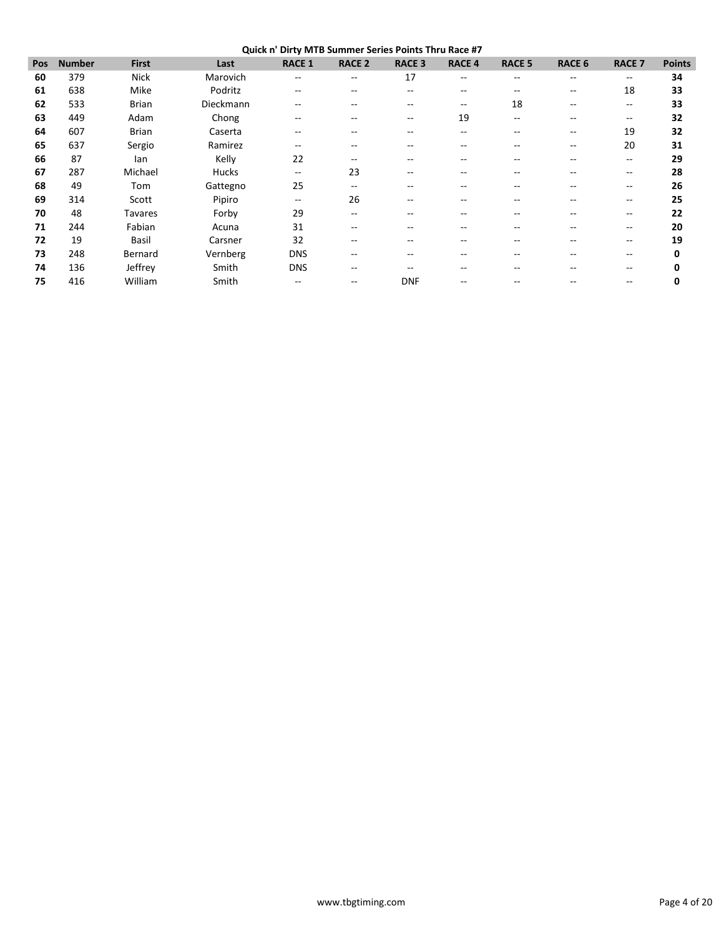| Pos | <b>Number</b> | <b>First</b>   | Last      | <b>RACE 1</b>            | <b>RACE 2</b>                         | <b>RACE 3</b> | <b>RACE 4</b>            | <b>RACE 5</b> | <b>RACE 6</b> | <b>RACE 7</b>            | <b>Points</b> |
|-----|---------------|----------------|-----------|--------------------------|---------------------------------------|---------------|--------------------------|---------------|---------------|--------------------------|---------------|
| 60  | 379           | <b>Nick</b>    | Marovich  | $\qquad \qquad -$        | $\hspace{0.05cm}$ – $\hspace{0.05cm}$ | 17            | $\overline{\phantom{m}}$ | $- -$         | --            | $\hspace{0.05cm}$        | 34            |
| 61  | 638           | Mike           | Podritz   | $\qquad \qquad -$        | $-$                                   | --            | --                       | --            | --            | 18                       | 33            |
| 62  | 533           | <b>Brian</b>   | Dieckmann | $- -$                    | --                                    |               | --                       | 18            | --            | $\hspace{0.05cm}$        | 33            |
| 63  | 449           | Adam           | Chong     | --                       | $-$                                   | $- -$         | 19                       | $- -$         | --            | $\hspace{0.05cm}$        | 32            |
| 64  | 607           | <b>Brian</b>   | Caserta   | $\qquad \qquad -$        | --                                    |               |                          |               | --            | 19                       | 32            |
| 65  | 637           | Sergio         | Ramirez   | $\qquad \qquad -$        | $-$                                   |               |                          |               | --            | 20                       | 31            |
| 66  | 87            | lan            | Kelly     | 22                       | $-$                                   |               |                          |               | --            | $\overline{\phantom{a}}$ | 29            |
| 67  | 287           | Michael        | Hucks     | $- -$                    | 23                                    |               |                          |               |               | $\overline{\phantom{m}}$ | 28            |
| 68  | 49            | Tom            | Gattegno  | 25                       | $\hspace{0.05cm}$ – $\hspace{0.05cm}$ |               |                          |               | --            | $\hspace{0.05cm}$        | 26            |
| 69  | 314           | Scott          | Pipiro    | $\overline{\phantom{m}}$ | 26                                    | --            |                          |               | --            | $\overline{\phantom{m}}$ | 25            |
| 70  | 48            | <b>Tavares</b> | Forby     | 29                       | $-$                                   |               |                          |               |               | $\hspace{0.05cm}$        | 22            |
| 71  | 244           | Fabian         | Acuna     | 31                       | $-$                                   |               |                          |               | --            | $\overline{\phantom{m}}$ | 20            |
| 72  | 19            | Basil          | Carsner   | 32                       | $-$                                   |               |                          |               |               | $-$                      | 19            |
| 73  | 248           | Bernard        | Vernberg  | <b>DNS</b>               | --                                    |               |                          |               |               | $\overline{\phantom{m}}$ | 0             |
| 74  | 136           | Jeffrey        | Smith     | <b>DNS</b>               | $-$                                   |               |                          |               |               | $-$                      | 0             |
| 75  | 416           | William        | Smith     |                          | --                                    | <b>DNF</b>    |                          |               |               | --                       | 0             |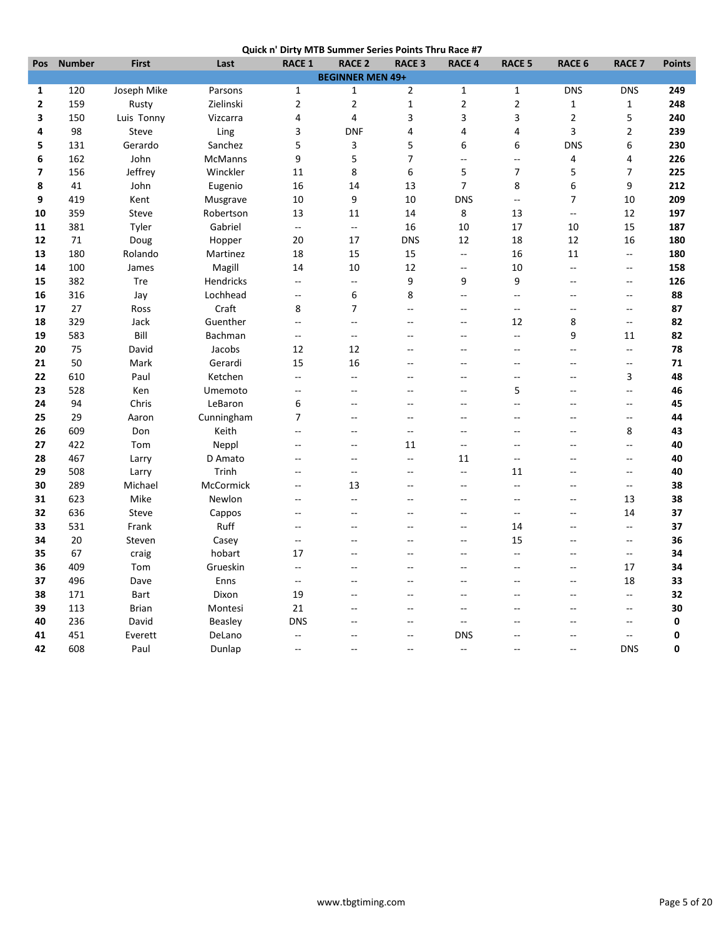|  | Quick n' Dirty MTB Summer Series Points Thru Race #7 |
|--|------------------------------------------------------|
|  |                                                      |

|              |               |              |                |                          | QUICK IT DITTY INTO JUINING JONES FOINTS THIS NACE #7 |                          |                          |                |                |                          |               |
|--------------|---------------|--------------|----------------|--------------------------|-------------------------------------------------------|--------------------------|--------------------------|----------------|----------------|--------------------------|---------------|
| Pos          | <b>Number</b> | <b>First</b> | Last           | <b>RACE 1</b>            | <b>RACE 2</b>                                         | <b>RACE 3</b>            | <b>RACE 4</b>            | <b>RACE 5</b>  | <b>RACE 6</b>  | <b>RACE 7</b>            | <b>Points</b> |
|              |               |              |                |                          | <b>BEGINNER MEN 49+</b>                               |                          |                          |                |                |                          |               |
| $\mathbf{1}$ | 120           | Joseph Mike  | Parsons        | $\mathbf{1}$             | $\mathbf 1$                                           | $\overline{2}$           | $\mathbf 1$              | $\mathbf 1$    | <b>DNS</b>     | <b>DNS</b>               | 249           |
| $\mathbf{2}$ | 159           | Rusty        | Zielinski      | $\overline{2}$           | $\overline{2}$                                        | $\mathbf 1$              | $\mathbf 2$              | $\mathbf 2$    | $\mathbf 1$    | $\mathbf 1$              | 248           |
| 3            | 150           | Luis Tonny   | Vizcarra       | 4                        | 4                                                     | 3                        | 3                        | 3              | $\overline{2}$ | 5                        | 240           |
| 4            | 98            | Steve        | Ling           | 3                        | <b>DNF</b>                                            | 4                        | $\overline{\mathbf{4}}$  | 4              | 3              | $\mathbf 2$              | 239           |
| 5            | 131           | Gerardo      | Sanchez        | 5                        | 3                                                     | 5                        | 6                        | 6              | <b>DNS</b>     | 6                        | 230           |
| 6            | 162           | John         | <b>McManns</b> | 9                        | 5                                                     | $\overline{7}$           | $\overline{\phantom{a}}$ | Ξ.             | 4              | 4                        | 226           |
| 7            | 156           | Jeffrey      | Winckler       | 11                       | 8                                                     | 6                        | 5                        | $\overline{7}$ | 5              | 7                        | 225           |
| 8            | 41            | John         | Eugenio        | 16                       | 14                                                    | 13                       | $\overline{7}$           | 8              | 6              | 9                        | 212           |
| 9            | 419           | Kent         | Musgrave       | 10                       | 9                                                     | 10                       | <b>DNS</b>               | цц.            | 7              | 10                       | 209           |
| 10           | 359           | Steve        | Robertson      | 13                       | 11                                                    | 14                       | 8                        | 13             | $\overline{a}$ | 12                       | 197           |
| 11           | 381           | Tyler        | Gabriel        | $\ddotsc$                | $\overline{\phantom{a}}$                              | 16                       | 10                       | 17             | 10             | 15                       | 187           |
| 12           | 71            | Doug         | Hopper         | 20                       | 17                                                    | <b>DNS</b>               | 12                       | 18             | 12             | 16                       | 180           |
| 13           | 180           | Rolando      | Martinez       | 18                       | 15                                                    | 15                       | Ξ.                       | 16             | 11             | $\overline{\phantom{a}}$ | 180           |
| 14           | 100           | James        | Magill         | 14                       | 10                                                    | 12                       | $\overline{a}$           | 10             | ц.             | Ξ.                       | 158           |
| 15           | 382           | Tre          | Hendricks      | $\overline{a}$           | $\overline{\phantom{a}}$                              | 9                        | 9                        | 9              | $\mathbf{u}$   | Ξ.                       | 126           |
| 16           | 316           | Jay          | Lochhead       | $\overline{a}$           | 6                                                     | 8                        | $\overline{a}$           | $\overline{a}$ | --             | $-$                      | 88            |
| 17           | 27            | Ross         | Craft          | 8                        | $\overline{7}$                                        | $\overline{a}$           | u.                       | $\overline{a}$ | $\sim$         | $\overline{a}$           | 87            |
| 18           | 329           | Jack         | Guenther       | Ξ.                       | $\sim$                                                | $\sim$                   | $-$                      | 12             | 8              | Ξ.                       | 82            |
| 19           | 583           | Bill         | Bachman        | Ξ.                       | $\overline{a}$                                        |                          | $\sim$                   | Ξ.             | 9              | 11                       | 82            |
| 20           | 75            | David        | Jacobs         | 12                       | 12                                                    |                          |                          | ÷-             | $\overline{a}$ | Ξ.                       | 78            |
| 21           | 50            | Mark         | Gerardi        | 15                       | 16                                                    | $\sim$                   | $\sim$                   | $-$            | $\sim$         | Ξ.                       | 71            |
| 22           | 610           | Paul         | Ketchen        | Ξ.                       | --                                                    | $\sim$                   | $\sim$                   | $-$            | Ξ.             | 3                        | 48            |
| 23           | 528           | Ken          | Umemoto        | $-$                      | $-$                                                   | $-$                      | $\sim$                   | 5              | Ξ.             | Щ,                       | 46            |
| 24           | 94            | Chris        | LeBaron        | 6                        | $-$                                                   | $-$                      | Ξ.                       | $\sim$         | --             | $-$                      | 45            |
| 25           | 29            | Aaron        | Cunningham     | $\overline{7}$           | $\sim$                                                | $\sim$                   | $\sim$                   | $\sim$         | --             | Ξ.                       | 44            |
| 26           | 609           | Don          | Keith          | $\overline{a}$           | $\overline{a}$                                        | $\sim$                   | $\sim$                   | $\sim$         | $\overline{a}$ | 8                        | 43            |
| 27           | 422           | Tom          | Neppl          | $\overline{\phantom{a}}$ | $-$                                                   | 11                       | $\sim$                   |                | $-$            | Щ,                       | 40            |
| 28           | 467           | Larry        | D Amato        | --                       | --                                                    | $\overline{\phantom{a}}$ | 11                       | $\overline{a}$ | --             | Ξ.                       | 40            |
| 29           | 508           | Larry        | Trinh          | $\sim$                   | --                                                    | $\sim$                   | $\sim$                   | 11             | $\overline{a}$ | Щ,                       | 40            |
| 30           | 289           | Michael      | McCormick      | $\overline{a}$           | 13                                                    | $\sim$                   | $\sim$                   | $\overline{a}$ | $\sim$         | $\mathbf{u}$             | 38            |
| 31           | 623           | Mike         | Newlon         | $\overline{\phantom{a}}$ | --                                                    | $\overline{a}$           | $\overline{a}$           | $\overline{a}$ | --             | 13                       | 38            |
| 32           | 636           | Steve        | Cappos         | --                       | --                                                    |                          | Ξ.                       | Ξ.             | --             | 14                       | 37            |
| 33           | 531           | Frank        | Ruff           | $\overline{a}$           | Ξ.                                                    | $\sim$                   | Ξ.                       | 14             | --             | ΞĒ,                      | 37            |
| 34           | 20            | Steven       | Casey          | $\overline{a}$           | $-$                                                   | $\overline{a}$           | $\sim$                   | 15             | $\sim$         | $\overline{\phantom{a}}$ | 36            |
| 35           | 67            | craig        | hobart         | 17                       | $\overline{a}$                                        |                          |                          | $\sim$         | --             | $\qquad \qquad -$        | 34            |
| 36           | 409           | Tom          | Grueskin       | Ξ.                       |                                                       |                          |                          | Ξ.             | --             | 17                       | 34            |
| 37           | 496           | Dave         | Enns           | ۰.                       | $-$                                                   | $\sim$                   | $\sim$                   | $-$            | --             | 18                       | 33            |
| 38           | 171           | <b>Bart</b>  | Dixon          | 19                       | $-$                                                   | $\sim$                   | $\sim$                   | $\sim$         | $\sim$         | $\overline{\phantom{a}}$ | 32            |
| 39           | 113           | <b>Brian</b> | Montesi        | 21                       |                                                       | --                       | $\overline{a}$           |                | --             | $\overline{a}$           | 30            |
| 40           | 236           | David        | <b>Beasley</b> | <b>DNS</b>               |                                                       | ц.                       | --                       |                | Ξ.             | --                       | 0             |
| 41           | 451           | Everett      | DeLano         | --                       | $\overline{a}$                                        | $\overline{a}$           | <b>DNS</b>               | $\sim$         | $-$            | $\overline{a}$           | 0             |
| 42           | 608           | Paul         |                | $\overline{\phantom{a}}$ | $\sim$                                                | $\sim$                   | $\overline{\phantom{a}}$ | $\sim$         | $\sim$         | <b>DNS</b>               | 0             |
|              |               |              | Dunlap         |                          |                                                       |                          |                          |                |                |                          |               |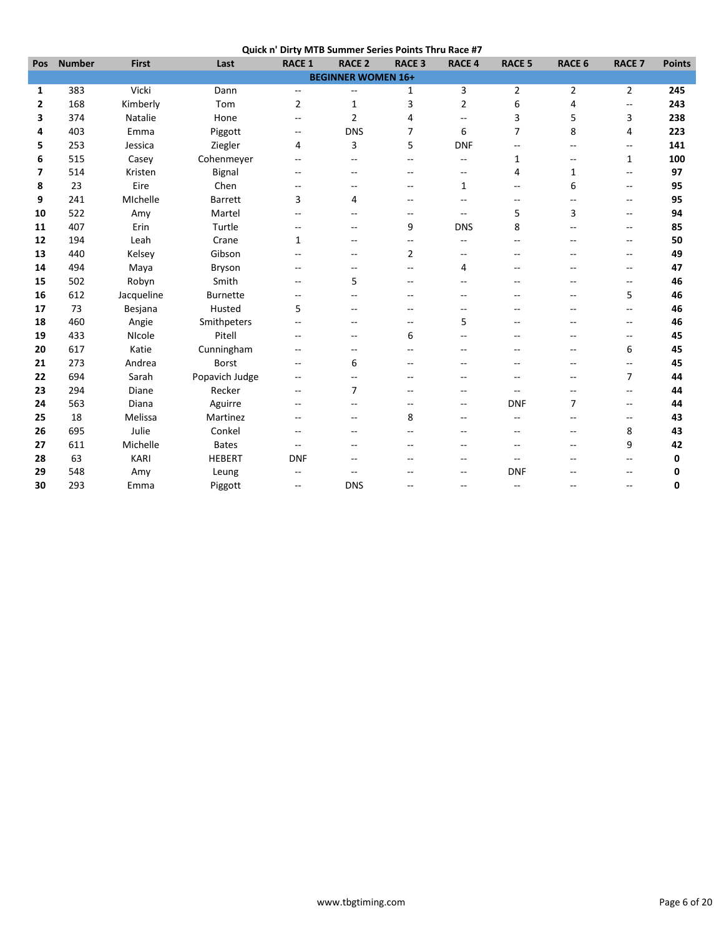| Quick n' Dirty MTB Summer Series Points Thru Race #7 |  |  |
|------------------------------------------------------|--|--|
|                                                      |  |  |

| <b>Number</b> | <b>First</b> | Last            | <b>RACE 1</b>            | <b>RACE 2</b>            | <b>RACE 3</b>            | <b>RACE 4</b>             | <b>RACE 5</b>            | <b>RACE 6</b>  | <b>RACE 7</b>                                       | <b>Points</b> |
|---------------|--------------|-----------------|--------------------------|--------------------------|--------------------------|---------------------------|--------------------------|----------------|-----------------------------------------------------|---------------|
|               |              |                 |                          |                          |                          |                           |                          |                |                                                     |               |
| 383           | Vicki        | Dann            | --                       | $\overline{\phantom{a}}$ | 1                        | 3                         | $\overline{2}$           | $\overline{2}$ | $\overline{2}$                                      | 245           |
| 168           | Kimberly     | Tom             | $\overline{2}$           | $\mathbf{1}$             | 3                        | $\overline{2}$            | 6                        | 4              | --                                                  | 243           |
| 374           | Natalie      | Hone            | --                       | $\overline{2}$           | 4                        | $- -$                     | 3                        | 5              | 3                                                   | 238           |
| 403           | Emma         | Piggott         | $\overline{\phantom{m}}$ | <b>DNS</b>               | 7                        | 6                         | $\overline{7}$           | 8              | 4                                                   | 223           |
| 253           | Jessica      | Ziegler         | 4                        | 3                        | 5                        | <b>DNF</b>                | $\overline{a}$           | $\overline{a}$ | $\overline{\phantom{a}}$                            | 141           |
| 515           | Casey        | Cohenmeyer      | --                       | --                       | --                       | $- -$                     | 1                        | --             | $\mathbf{1}$                                        | 100           |
| 514           | Kristen      | Bignal          | $-$                      | --                       | $\overline{\phantom{a}}$ | $\overline{\phantom{a}}$  | 4                        | $\mathbf{1}$   | $\overline{\phantom{a}}$                            | 97            |
| 23            | Eire         | Chen            | --                       | --                       |                          | 1                         | $-\,-$                   | 6              | $\overline{\phantom{a}}$                            | 95            |
| 241           | MIchelle     | <b>Barrett</b>  | 3                        | 4                        | --                       | --                        | --                       | --             | $\overline{\phantom{m}}$                            | 95            |
| 522           | Amy          | Martel          | $- -$                    | $\overline{a}$           | $\overline{a}$           | $\sim$ $\sim$             | 5                        | 3              | $\overline{\phantom{a}}$                            | 94            |
| 407           | Erin         | Turtle          | $\overline{a}$           | $\sim$                   | 9                        | <b>DNS</b>                | 8                        | $\overline{a}$ | $-$                                                 | 85            |
| 194           | Leah         | Crane           | 1                        | $\overline{\phantom{a}}$ | $-$                      | $\sim$ $\sim$             | $\overline{\phantom{a}}$ | $\overline{a}$ | $\overline{\phantom{a}}$                            | 50            |
| 440           | Kelsey       | Gibson          | --                       | --                       | $\overline{2}$           | $- -$                     | $\overline{\phantom{a}}$ | --             | --                                                  | 49            |
| 494           | Maya         | Bryson          | $-$                      | --                       |                          | 4                         |                          | --             | --                                                  | 47            |
| 502           | Robyn        | Smith           | $- -$                    | 5                        | $\sim$                   |                           |                          | $\overline{a}$ | $\overline{\phantom{a}}$                            | 46            |
| 612           | Jacqueline   | <b>Burnette</b> | $\overline{a}$           | $\overline{a}$           |                          | $-$                       |                          | $\overline{a}$ | 5                                                   | 46            |
| 73            | Besjana      | Husted          | 5                        | --                       | $\sim$                   | $-$                       |                          | $-$            | $\overline{\phantom{a}}$                            | 46            |
| 460           | Angie        |                 | --                       | $\overline{\phantom{a}}$ | --                       | 5                         | $-$                      | --             | $\overline{\phantom{a}}$                            | 46            |
| 433           | NIcole       | Pitell          | --                       | $\overline{\phantom{m}}$ | 6                        |                           |                          | $-$            | $\hspace{0.05cm} -\hspace{0.05cm} -\hspace{0.05cm}$ | 45            |
| 617           | Katie        | Cunningham      | --                       | --                       |                          | --                        |                          | --             | 6                                                   | 45            |
| 273           | Andrea       | <b>Borst</b>    | $- -$                    | 6                        |                          |                           |                          | --             | --                                                  | 45            |
| 694           | Sarah        | Popavich Judge  | $\overline{a}$           | $-$                      | $\sim$                   | $\sim$                    |                          | $\overline{a}$ | $\overline{7}$                                      | 44            |
| 294           | Diane        | Recker          | $- -$                    | $\overline{7}$           | $\sim$                   | $\sim$                    |                          | $\overline{a}$ | $\mathbf{u}$                                        | 44            |
| 563           | Diana        | Aguirre         | --                       | $\overline{\phantom{m}}$ |                          | $\overline{\phantom{m}}$  | <b>DNF</b>               | 7              | $\overline{\phantom{a}}$                            | 44            |
| 18            | Melissa      | Martinez        | $- -$                    | $\overline{\phantom{a}}$ | 8                        | --                        |                          |                | $\overline{\phantom{a}}$                            | 43            |
| 695           | Julie        | Conkel          | $-$                      |                          |                          | $\sim$                    | $\sim$                   | --             | 8                                                   | 43            |
| 611           | Michelle     | <b>Bates</b>    | $\overline{a}$           |                          |                          |                           | $-$                      | $-$            | 9                                                   | 42            |
| 63            | <b>KARI</b>  | <b>HEBERT</b>   | <b>DNF</b>               | $\sim$                   |                          |                           | $-$                      | $-$            | $\overline{a}$                                      | 0             |
| 548           | Amy          | Leung           | --                       |                          |                          | --                        | <b>DNF</b>               | $-$            | --                                                  | 0             |
| 293           | Emma         | Piggott         | --                       | <b>DNS</b>               | --                       | $\overline{\phantom{a}}$  | $\overline{\phantom{a}}$ | $-$            | --                                                  | 0             |
|               |              |                 | Smithpeters              |                          |                          | <b>BEGINNER WOMEN 16+</b> |                          |                |                                                     |               |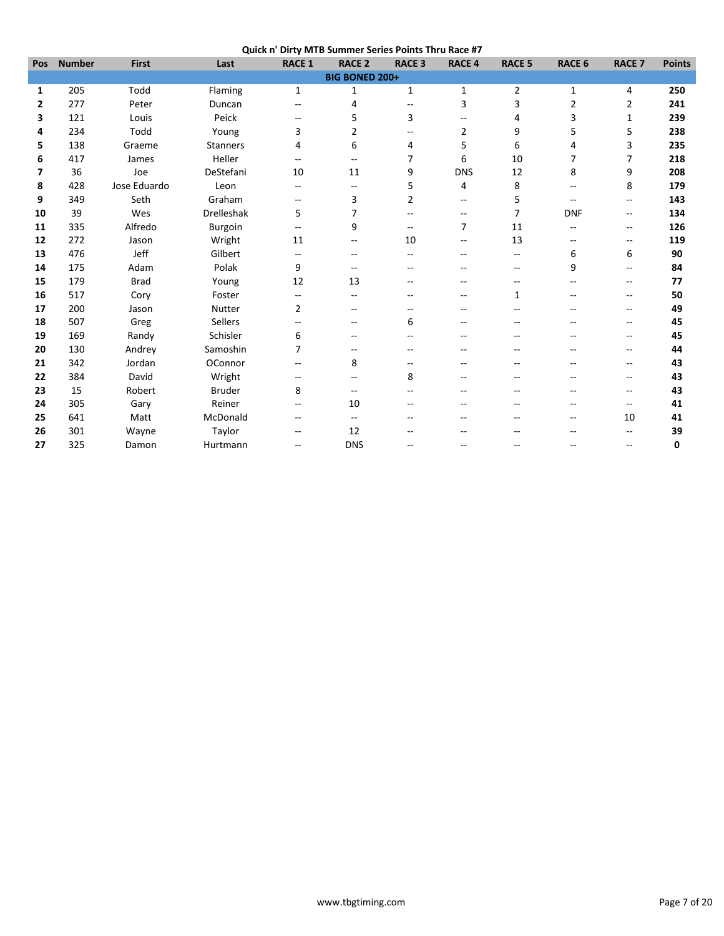| Quick n' Dirty MTB Summer Series Points Thru Race #7 |  |  |
|------------------------------------------------------|--|--|
|                                                      |  |  |

| Pos | <b>Number</b> | <b>First</b> | Last            | <b>RACE 1</b>  | <b>RACE 2</b>            | <b>RACE 3</b>  | <b>RACE 4</b>            | <b>RACE 5</b>            | <b>RACE 6</b>  | <b>RACE 7</b>            | <b>Points</b> |
|-----|---------------|--------------|-----------------|----------------|--------------------------|----------------|--------------------------|--------------------------|----------------|--------------------------|---------------|
|     |               |              |                 |                | <b>BIG BONED 200+</b>    |                |                          |                          |                |                          |               |
| 1   | 205           | Todd         | Flaming         | $\mathbf{1}$   | 1                        | $\mathbf{1}$   | 1                        | $\overline{2}$           | $\mathbf{1}$   | 4                        | 250           |
| 2   | 277           | Peter        | Duncan          | $- -$          | 4                        | $\overline{a}$ | 3                        | 3                        | $\overline{2}$ | 2                        | 241           |
| 3   | 121           | Louis        | Peick           | --             | 5                        | 3              | $\overline{\phantom{m}}$ | 4                        | 3              | 1                        | 239           |
| 4   | 234           | Todd         | Young           | 3              | 2                        |                | $\overline{2}$           | 9                        | 5              | 5                        | 238           |
| 5   | 138           | Graeme       | <b>Stanners</b> | 4              | 6                        | 4              | 5                        | 6                        | 4              | 3                        | 235           |
| 6   | 417           | James        | Heller          | $-1$           | $\overline{a}$           | 7              | 6                        | 10                       | 7              | $\overline{7}$           | 218           |
| 7   | 36            | Joe          | DeStefani       | 10             | 11                       | 9              | <b>DNS</b>               | 12                       | 8              | 9                        | 208           |
| 8   | 428           | Jose Eduardo | Leon            | --             | --                       | 5              | 4                        | 8                        | --             | 8                        | 179           |
| 9   | 349           | Seth         | Graham          | $- -$          | 3                        | $\overline{2}$ | --                       | 5                        | --             | --                       | 143           |
| 10  | 39            | Wes          | Drelleshak      | 5              | 7                        |                | $\overline{\phantom{a}}$ | 7                        | <b>DNF</b>     | --                       | 134           |
| 11  | 335           | Alfredo      | <b>Burgoin</b>  | --             | 9                        | $\overline{a}$ | $\overline{7}$           | 11                       | --             | $\overline{\phantom{a}}$ | 126           |
| 12  | 272           | Jason        | Wright          | 11             | --                       | 10             | $\overline{\phantom{a}}$ | 13                       | --             | --                       | 119           |
| 13  | 476           | Jeff         | Gilbert         | $-$            | --                       | --             | --                       | $\sim$ $\sim$            | 6              | 6                        | 90            |
| 14  | 175           | Adam         | Polak           | 9              | $\overline{\phantom{m}}$ | --             | --                       | $\overline{\phantom{m}}$ | 9              | --                       | 84            |
| 15  | 179           | <b>Brad</b>  | Young           | 12             | 13                       |                |                          |                          | $\overline{a}$ | --                       | 77            |
| 16  | 517           | Cory         | Foster          | $-$            | --                       |                |                          | 1                        | --             | --                       | 50            |
| 17  | 200           | Jason        | Nutter          | $\overline{2}$ | $-$                      |                |                          |                          |                | $\overline{a}$           | 49            |
| 18  | 507           | Greg         | Sellers         | --             | --                       | 6              |                          |                          |                | --                       | 45            |
| 19  | 169           | Randy        | Schisler        | 6              | --                       |                |                          |                          |                | --                       | 45            |
| 20  | 130           | Andrey       | Samoshin        | 7              | --                       |                |                          |                          |                | --                       | 44            |
| 21  | 342           | Jordan       | OConnor         | $-$            | 8                        | $\sim$         |                          |                          | $\overline{a}$ | $\frac{1}{2}$            | 43            |
| 22  | 384           | David        | Wright          | $- -$          | --                       | 8              |                          |                          | --             | --                       | 43            |
| 23  | 15            | Robert       | <b>Bruder</b>   | 8              | --                       |                |                          |                          | --             | --                       | 43            |
| 24  | 305           | Gary         | Reiner          | --             | 10                       |                |                          |                          |                | --                       | 41            |
| 25  | 641           | Matt         | McDonald        | --             | $-$                      |                |                          |                          | --             | 10                       | 41            |
| 26  | 301           | Wayne        | Taylor          | --             | 12                       |                |                          |                          |                | --                       | 39            |
| 27  | 325           | Damon        | Hurtmann        | --             | <b>DNS</b>               |                | $\sim$                   | $-$                      | $\overline{a}$ | --                       | 0             |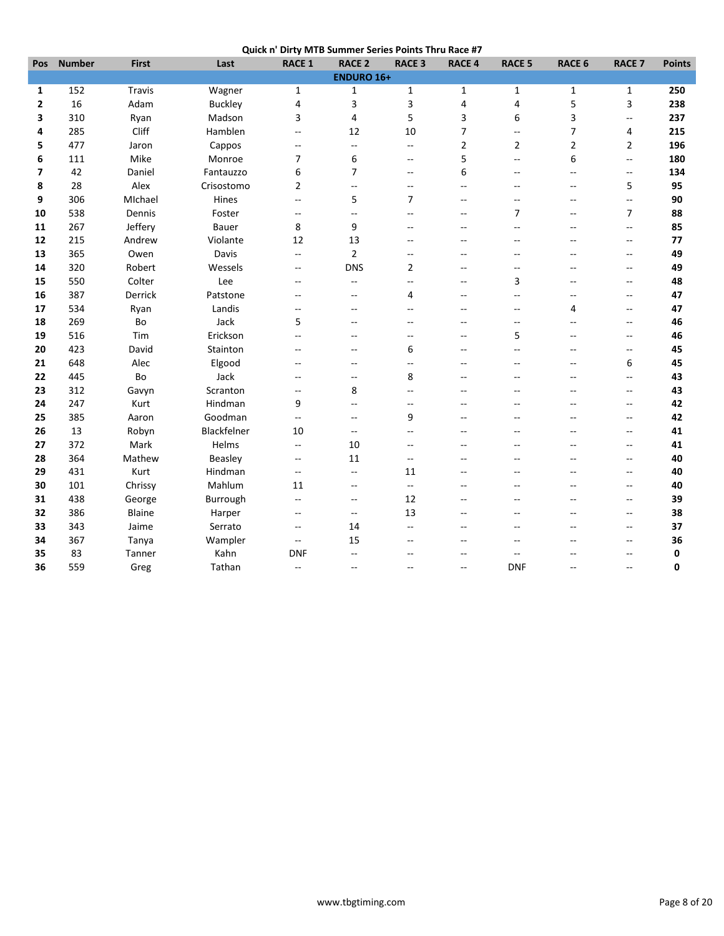| Quick n' Dirty MTB Summer Series Points Thru Race #7 |  |  |
|------------------------------------------------------|--|--|
|                                                      |  |  |

| Pos                      | <b>Number</b> | <b>First</b>  | Last           | <b>RACE 1</b>            | <b>RACE 2</b>     | <b>RACE 3</b>            | <b>RACE 4</b>            | <b>RACE 5</b>            | RACE 6                   | <b>RACE 7</b>            | <b>Points</b> |
|--------------------------|---------------|---------------|----------------|--------------------------|-------------------|--------------------------|--------------------------|--------------------------|--------------------------|--------------------------|---------------|
|                          |               |               |                |                          | <b>ENDURO 16+</b> |                          |                          |                          |                          |                          |               |
| 1                        | 152           | <b>Travis</b> | Wagner         | $\mathbf{1}$             | 1                 | $\mathbf{1}$             | $\mathbf{1}$             | $\mathbf{1}$             | $\mathbf{1}$             | $\mathbf{1}$             | 250           |
| $\overline{2}$           | 16            | Adam          | <b>Buckley</b> | 4                        | 3                 | 3                        | 4                        | $\overline{4}$           | 5                        | 3                        | 238           |
| 3                        | 310           | Ryan          | Madson         | 3                        | 4                 | 5                        | 3                        | 6                        | 3                        | Ξ.                       | 237           |
| 4                        | 285           | Cliff         | Hamblen        | Ξ.                       | 12                | 10                       | $\overline{7}$           | $\sim$ $\sim$            | $\overline{7}$           | 4                        | 215           |
| 5                        | 477           | Jaron         | Cappos         | $\overline{a}$           | --                | $\overline{\phantom{a}}$ | $\overline{2}$           | 2                        | $\overline{2}$           | $\overline{2}$           | 196           |
| 6                        | 111           | Mike          | Monroe         | 7                        | 6                 | $\sim$ $\sim$            | 5                        | $\overline{a}$           | 6                        | Ξ.                       | 180           |
| $\overline{\phantom{a}}$ | 42            | Daniel        | Fantauzzo      | 6                        | $\overline{7}$    | $\sim$ $\sim$            | 6                        | $-$                      | $\overline{a}$           | --                       | 134           |
| 8                        | 28            | Alex          | Crisostomo     | 2                        | $\overline{a}$    | $\sim$ $\sim$            | $\overline{\phantom{a}}$ | $\sim$                   | $\overline{\phantom{a}}$ | 5                        | 95            |
| 9                        | 306           | MIchael       | Hines          | $\overline{\phantom{a}}$ | 5                 | $\overline{7}$           | $\overline{\phantom{a}}$ | $\sim$ $\sim$            | $\rightarrow$            | L.                       | 90            |
| 10                       | 538           | Dennis        | Foster         | $\overline{\phantom{a}}$ | --                | $\mathbf{L}$             | $\overline{\phantom{a}}$ | $\overline{7}$           | $\overline{a}$           | $\overline{7}$           | 88            |
| 11                       | 267           | Jeffery       | Bauer          | 8                        | 9                 | $\overline{a}$           | $\sim$                   | $-$                      | --                       | Щ,                       | 85            |
| 12                       | 215           | Andrew        | Violante       | 12                       | 13                | $\overline{a}$           | $\sim$                   | $-$                      | $\sim$                   | $-$                      | 77            |
| 13                       | 365           | Owen          | Davis          | Ξ.                       | $\overline{2}$    | $\overline{\phantom{a}}$ | $\overline{a}$           | $\sim$                   | $\overline{a}$           | $\overline{a}$           | 49            |
| 14                       | 320           | Robert        | Wessels        | $\overline{\phantom{a}}$ | <b>DNS</b>        | $\overline{2}$           | $\overline{a}$           | $\sim$                   | $\overline{a}$           | $\overline{a}$           | 49            |
| 15                       | 550           | Colter        | Lee            | $\overline{a}$           | --                | $\overline{a}$           | $\sim$                   | 3                        | $\sim$                   | $\overline{a}$           | 48            |
| 16                       | 387           | Derrick       | Patstone       | --                       | Ξ.                | 4                        | $\overline{a}$           | $\overline{a}$           | ۵.                       | $-$                      | 47            |
| 17                       | 534           | Ryan          | Landis         | $\overline{\phantom{a}}$ | $\overline{a}$    | $\overline{a}$           | $\overline{a}$           | $\sim$                   | 4                        | $-$                      | 47            |
| 18                       | 269           | Bo            | Jack           | 5                        | --                | --                       |                          | $\overline{\phantom{a}}$ | --                       | $\overline{\phantom{a}}$ | 46            |
| 19                       | 516           | Tim           | Erickson       | --                       | $\overline{a}$    | $\sim$ $\sim$            | $\sim$                   | 5                        | $-$                      | $-$                      | 46            |
| 20                       | 423           | David         | Stainton       | $-$                      | $\overline{a}$    | 6                        | $\sim$                   | $\sim$ $\sim$            | $\sim$                   | $\overline{a}$           | 45            |
| 21                       | 648           | Alec          | Elgood         | $-$                      | $-$               | $\mathbf{L}$             | $\overline{a}$           | $-$                      | $\overline{a}$           | 6                        | 45            |
| 22                       | 445           | Bo            | Jack           | $\overline{a}$           | --                | 8                        | --                       | $\sim$                   | $\overline{a}$           | Ξ.                       | 43            |
| 23                       | 312           | Gavyn         | Scranton       | --                       | 8                 | $-$                      |                          |                          | --                       | --                       | 43            |
| 24                       | 247           | Kurt          | Hindman        | 9                        | --                | $\overline{\phantom{a}}$ | $\sim$                   | $\sim$                   | ۵.                       | --                       | 42            |
| 25                       | 385           | Aaron         | Goodman        | $\overline{\phantom{a}}$ | $\overline{a}$    | 9                        | $\overline{a}$           | $\sim$                   | $-$                      | --                       | 42            |
| 26                       | 13            | Robyn         | Blackfelner    | 10                       | $\overline{a}$    | $\sim$ $\sim$            | --                       | $\overline{a}$           | $-$                      | --                       | 41            |
| 27                       | 372           | Mark          | Helms          | Ξ.                       | 10                | $\overline{a}$           |                          |                          | $\overline{a}$           | $\overline{a}$           | 41            |
| 28                       | 364           | Mathew        | <b>Beasley</b> | $\overline{\phantom{a}}$ | 11                | $-$                      | $\sim$                   | $\sim$                   | ۵.                       | --                       | 40            |
| 29                       | 431           | Kurt          | Hindman        | $\overline{\phantom{a}}$ | --                | 11                       |                          |                          | ۵.                       | --                       | 40            |
| 30                       | 101           | Chrissy       | Mahlum         | 11                       | --                | $\overline{\phantom{a}}$ | --                       |                          | $-$                      | --                       | 40            |
| 31                       | 438           | George        | Burrough       | $\overline{\phantom{a}}$ | --                | 12                       | $\sim$                   | $\sim$                   | $\overline{a}$           | $\overline{a}$           | 39            |
| 32                       | 386           | Blaine        | Harper         | $\overline{\phantom{a}}$ | --                | 13                       | $\sim$                   | $\sim$                   | $\sim$                   | $\overline{a}$           | 38            |
| 33                       | 343           | Jaime         | Serrato        | $\overline{\phantom{a}}$ | 14                | $\overline{\phantom{a}}$ | $\sim$                   | $-$                      | $\overline{a}$           | --                       | 37            |
| 34                       | 367           | Tanya         | Wampler        | --                       | 15                | $\overline{\phantom{a}}$ | $\overline{\phantom{a}}$ | $\overline{\phantom{a}}$ | --                       | --                       | 36            |
| 35                       | 83            | Tanner        | Kahn           | <b>DNF</b>               | $\overline{a}$    | $\overline{a}$           | $\overline{a}$           | $\mathbf{u}$             | ۵.                       | --                       | 0             |
| 36                       | 559           | Greg          | Tathan         | $-$                      | $\overline{a}$    | $\sim$ $\sim$            | $\overline{\phantom{a}}$ | <b>DNF</b>               | $\overline{a}$           | --                       | 0             |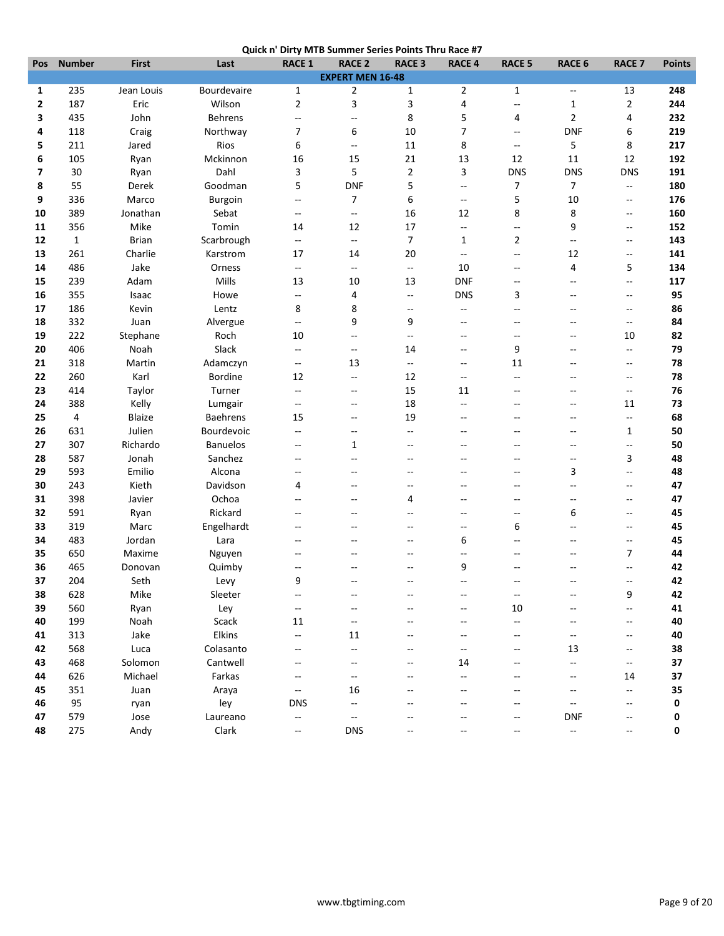|  | Quick n' Dirty MTB Summer Series Points Thru Race #7 |
|--|------------------------------------------------------|
|  |                                                      |

| Pos          | <b>Number</b> | <b>First</b>  | יי היה ש<br>Last | <b>PHLY IVII</b><br><b>RACE 1</b> | <b>RACE 2</b>           | <b>D</b> Sammer Series Follits Thru Race #7<br><b>RACE 3</b> | <b>RACE 4</b>            | <b>RACE 5</b>            | RACE 6                   | <b>RACE 7</b>            | <b>Points</b> |
|--------------|---------------|---------------|------------------|-----------------------------------|-------------------------|--------------------------------------------------------------|--------------------------|--------------------------|--------------------------|--------------------------|---------------|
|              |               |               |                  |                                   | <b>EXPERT MEN 16-48</b> |                                                              |                          |                          |                          |                          |               |
| 1            | 235           | Jean Louis    | Bourdevaire      | $\mathbf{1}$                      | $\overline{2}$          | $\mathbf{1}$                                                 | $\overline{2}$           | $\mathbf{1}$             | $\overline{\phantom{a}}$ | 13                       | 248           |
| $\mathbf{2}$ | 187           | Eric          | Wilson           | $\overline{2}$                    | 3                       | 3                                                            | 4                        | $\overline{a}$           | 1                        | $\mathbf{2}$             | 244           |
| 3            | 435           | John          | <b>Behrens</b>   | ۰.                                | --                      | 8                                                            | 5                        | 4                        | $\overline{2}$           | 4                        | 232           |
| 4            | 118           | Craig         | Northway         | 7                                 | 6                       | 10                                                           | $\overline{7}$           | $\overline{\phantom{a}}$ | <b>DNF</b>               | 6                        | 219           |
| 5            | 211           | Jared         | Rios             | 6                                 | --                      | 11                                                           | 8                        | $\overline{\phantom{a}}$ | 5                        | 8                        | 217           |
| 6            | 105           | Ryan          | Mckinnon         | 16                                | 15                      | 21                                                           | 13                       | 12                       | 11                       | 12                       | 192           |
| 7            | 30            | Ryan          | Dahl             | 3                                 | 5                       | $\overline{2}$                                               | 3                        | <b>DNS</b>               | <b>DNS</b>               | <b>DNS</b>               | 191           |
| 8            | 55            | Derek         | Goodman          | 5                                 | <b>DNF</b>              | 5                                                            | $\overline{\phantom{a}}$ | 7                        | $\overline{7}$           | Ξ.                       | 180           |
| 9            | 336           | Marco         | Burgoin          | --                                | 7                       | 6                                                            | $\overline{\phantom{a}}$ | 5                        | 10                       | --                       | 176           |
| 10           | 389           | Jonathan      | Sebat            | $\overline{\phantom{a}}$          | --                      | 16                                                           | 12                       | 8                        | 8                        | $\overline{\phantom{a}}$ | 160           |
| 11           | 356           | Mike          | Tomin            | 14                                | 12                      | 17                                                           | Ξ.                       | $\overline{\phantom{a}}$ | 9                        | $\overline{\phantom{a}}$ | 152           |
| 12           | $\mathbf{1}$  | <b>Brian</b>  | Scarbrough       | ۰.                                | $\overline{a}$          | $\overline{7}$                                               | 1                        | $\overline{2}$           | $\overline{\phantom{a}}$ | $\overline{\phantom{a}}$ | 143           |
| 13           | 261           | Charlie       | Karstrom         | 17                                | 14                      | 20                                                           | $\overline{\phantom{a}}$ | $\overline{\phantom{a}}$ | 12                       | --                       | 141           |
| 14           | 486           | Jake          | Orness           | $\overline{\phantom{a}}$          | --                      | $\overline{\phantom{a}}$                                     | 10                       | $-$                      | 4                        | 5                        | 134           |
| 15           | 239           | Adam          | Mills            | 13                                | 10                      | 13                                                           | <b>DNF</b>               | $\overline{\phantom{a}}$ | $-$                      | --                       | 117           |
| 16           | 355           | Isaac         | Howe             | --                                | 4                       | $\mathcal{L}_{\mathcal{F}}$                                  | <b>DNS</b>               | 3                        | --                       | $\overline{\phantom{a}}$ | 95            |
| 17           | 186           | Kevin         | Lentz            | 8                                 | 8                       | $\sim$ $\sim$                                                | $\overline{\phantom{a}}$ | $-$                      | $\overline{a}$           | $\overline{a}$           | 86            |
| 18           | 332           | Juan          | Alvergue         | $-$                               | 9                       | 9                                                            | $\sim$                   | $\sim$                   | ۵.                       | $-$                      | 84            |
| 19           | 222           | Stephane      | Roch             | 10                                | --                      | $\overline{\phantom{a}}$                                     | --                       | $\overline{a}$           | $-$                      | 10                       | 82            |
| 20           | 406           | Noah          | Slack            | $-$                               | $\overline{a}$          | 14                                                           | $\overline{a}$           | 9                        | $\overline{a}$           | $\qquad \qquad -$        | 79            |
| 21           | 318           | Martin        | Adamczyn         | $-$                               | 13                      | $\overline{\phantom{a}}$                                     | $-$                      | 11                       | $-$                      | $-$                      | 78            |
| 22           | 260           | Karl          | <b>Bordine</b>   | 12                                | --                      | 12                                                           | $-$                      | $-$                      | --                       | --                       | 78            |
| 23           | 414           | Taylor        | Turner           | $-$                               | $\overline{a}$          | 15                                                           | 11                       | $-$                      | $\overline{a}$           | $\qquad \qquad -$        | 76            |
| 24           | 388           | Kelly         | Lumgair          | $\overline{\phantom{a}}$          | --                      | 18                                                           | $-$                      | --                       | --                       | 11                       | 73            |
| 25           | 4             | <b>Blaize</b> | Baehrens         | 15                                | $\overline{a}$          | 19                                                           | $\overline{\phantom{a}}$ | --                       | $-$                      | Ξ.                       | 68            |
| 26           | 631           | Julien        | Bourdevoic       | $\overline{\phantom{a}}$          | --                      | $\overline{\phantom{a}}$                                     | $\overline{a}$           | $\overline{a}$           | $-$                      | 1                        | 50            |
| 27           | 307           | Richardo      | <b>Banuelos</b>  | $\overline{\phantom{a}}$          | $\mathbf{1}$            | $\overline{\phantom{a}}$                                     | $\overline{\phantom{a}}$ | $\overline{\phantom{a}}$ | $\overline{\phantom{a}}$ | Ξ.                       | 50            |
| 28           | 587           | Jonah         | Sanchez          | --                                | $\overline{a}$          | $\overline{a}$                                               | --                       | $\overline{a}$           | $\qquad \qquad -$        | 3                        | 48            |
| 29           | 593           | Emilio        | Alcona           | --                                | $\overline{a}$          | $\sim$ $\sim$                                                | $\overline{a}$           | $\sim$                   | 3                        | Ξ.                       | 48            |
| 30           | 243           | Kieth         | Davidson         | 4                                 | $-$                     | $\overline{a}$                                               |                          | $\sim$                   | $\overline{a}$           | $\overline{a}$           | 47            |
| 31           | 398           | Javier        | Ochoa            | --                                | --                      | 4                                                            | --                       | --                       | $-$                      | --                       | 47            |
| 32           | 591           | Ryan          | Rickard          | --                                | $-$                     |                                                              | --                       | $\overline{a}$           | 6                        | $\overline{\phantom{a}}$ | 45            |
| 33           | 319           | Marc          | Engelhardt       | $\overline{a}$                    | $\overline{a}$          | $\sim$ $\sim$                                                | $\sim$                   | 6                        | $\overline{a}$           | $\overline{a}$           | 45            |
| 34           | 483           | Jordan        | Lara             | --                                | $-$                     | $\overline{\phantom{a}}$                                     | 6                        | --                       | --                       | $-$                      | 45            |
| 35           | 650           | Maxime        | Nguyen           | --                                |                         |                                                              | --                       |                          | --                       | $\overline{7}$           | 44            |
| 36           | 465           | Donovan       | Quimby           | --                                |                         |                                                              | 9                        |                          | $\overline{a}$           | --                       | 42            |
| 37           | 204           | Seth          | Levy             | 9                                 |                         |                                                              |                          |                          |                          |                          | 42            |
| 38           | 628           | Mike          | Sleeter          | --                                |                         |                                                              |                          | $\overline{\phantom{a}}$ |                          | 9                        | 42            |
| 39           | 560           | Ryan          | Ley              | --                                | --                      |                                                              | --                       | 10                       | $-$                      | --                       | 41            |
| 40           | 199           | Noah          | Scack            | 11                                | $-\, -$                 |                                                              |                          | $\overline{\phantom{a}}$ | --                       | $\overline{\phantom{a}}$ | 40            |
| 41           | 313           | Jake          | Elkins           | --                                | 11                      |                                                              |                          |                          | $\overline{\phantom{a}}$ | -−                       | 40            |
| 42           | 568           | Luca          | Colasanto        | $-$                               | --                      |                                                              | --                       |                          | 13                       | $\overline{\phantom{a}}$ | 38            |
| 43           | 468           | Solomon       | Cantwell         |                                   | --                      |                                                              | 14                       |                          | $\overline{a}$           | --                       | 37            |
| 44           | 626           | Michael       | Farkas           |                                   | --                      |                                                              |                          |                          | --                       | 14                       | 37            |
| 45           | 351           | Juan          | Araya            | $\overline{\phantom{a}}$          | 16                      |                                                              |                          |                          | --                       | Ξ.                       | 35            |
| 46           | 95            | ryan          | ley              | <b>DNS</b>                        | $\overline{a}$          |                                                              |                          |                          | $\overline{\phantom{a}}$ | $-$                      | 0             |
| 47           | 579           | Jose          | Laureano         | н,                                | --                      |                                                              |                          |                          | <b>DNF</b>               | $\overline{\phantom{a}}$ | 0             |
| 48           | 275           | Andy          | Clark            | ۰.                                | <b>DNS</b>              |                                                              |                          |                          | Ξ.                       | --                       | 0             |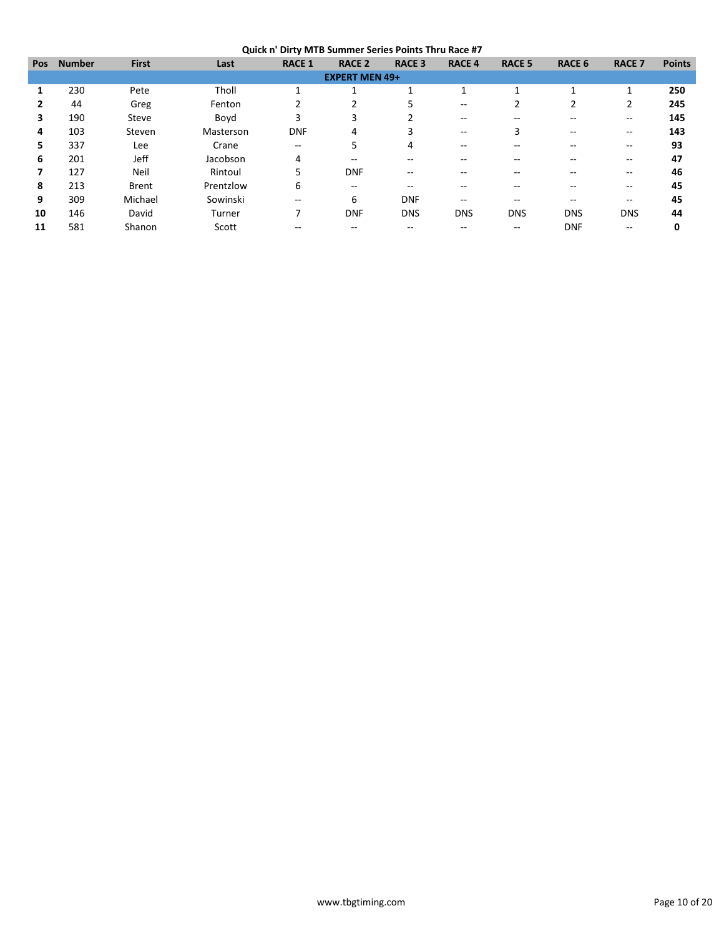|            |               |              |           | --------                              |                       |               |                          |               |               |                |               |
|------------|---------------|--------------|-----------|---------------------------------------|-----------------------|---------------|--------------------------|---------------|---------------|----------------|---------------|
| <b>Pos</b> | <b>Number</b> | <b>First</b> | Last      | <b>RACE 1</b>                         | <b>RACE 2</b>         | <b>RACE 3</b> | <b>RACE 4</b>            | <b>RACE 5</b> | <b>RACE 6</b> | <b>RACE 7</b>  | <b>Points</b> |
|            |               |              |           |                                       | <b>EXPERT MEN 49+</b> |               |                          |               |               |                |               |
|            | 230           | Pete         | Tholl     |                                       |                       |               |                          |               |               | $\overline{ }$ | 250           |
| 2          | 44            | Greg         | Fenton    | 2                                     | 2                     |               | $- -$                    |               | 2             | $\overline{2}$ | 245           |
| 3          | 190           | Steve        | Boyd      | 3                                     | 3                     |               | --                       |               | --            | $- -$          | 145           |
| 4          | 103           | Steven       | Masterson | <b>DNF</b>                            | 4                     | 3             | $\overline{\phantom{a}}$ | 3             | $- -$         | $- -$          | 143           |
| 5.         | 337           | Lee          | Crane     | $\hspace{0.05cm}$ – $\hspace{0.05cm}$ | 5                     | 4             | --                       |               | --            | $- -$          | 93            |
| 6          | 201           | Jeff         | Jacobson  | 4                                     | --                    | --            |                          |               | --            | $- -$          | 47            |
|            | 127           | Neil         | Rintoul   | 5                                     | <b>DNF</b>            | --            |                          |               | --            | --             | 46            |
| 8          | 213           | <b>Brent</b> | Prentzlow | 6                                     | --                    | --            |                          |               |               | --             | 45            |
| 9          | 309           | Michael      | Sowinski  | $- -$                                 | 6                     | <b>DNF</b>    | --                       |               | $- -$         | --             | 45            |
| 10         | 146           | David        | Turner    | 7                                     | <b>DNF</b>            | <b>DNS</b>    | <b>DNS</b>               | <b>DNS</b>    | <b>DNS</b>    | <b>DNS</b>     | 44            |
| 11         | 581           | Shanon       | Scott     |                                       |                       |               |                          |               | <b>DNF</b>    | --             | 0             |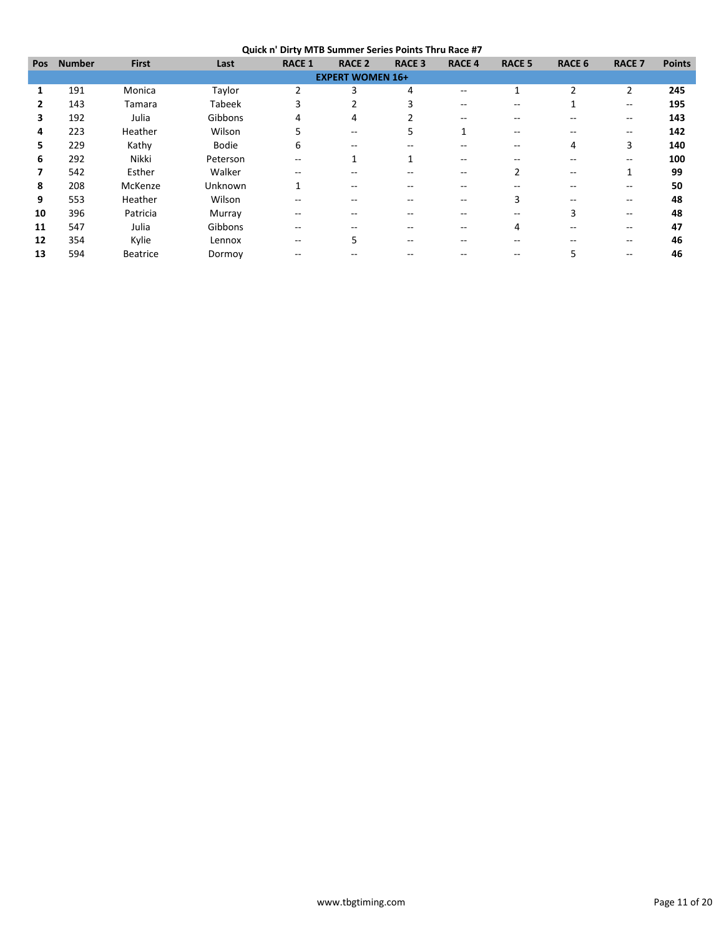**Quick n' Dirty MTB Summer Series Points Thru Race #7**

|               |                 |               | - .           |                          |               |                         |               |               |                          |               |
|---------------|-----------------|---------------|---------------|--------------------------|---------------|-------------------------|---------------|---------------|--------------------------|---------------|
| <b>Number</b> | <b>First</b>    | Last          | <b>RACE 1</b> | <b>RACE 2</b>            | <b>RACE 3</b> | <b>RACE 4</b>           | <b>RACE 5</b> | <b>RACE 6</b> | <b>RACE 7</b>            | <b>Points</b> |
|               |                 |               |               |                          |               |                         |               |               |                          |               |
| 191           | Monica          | Taylor        | 2             | 3                        | 4             |                         |               | ำ             | 2                        | 245           |
| 143           | Tamara          | <b>Tabeek</b> | 3             |                          | 3             |                         |               |               | $\hspace{0.05cm}$        | 195           |
| 192           | Julia           | Gibbons       | 4             | 4                        |               | --                      |               |               | $\overline{\phantom{m}}$ | 143           |
| 223           | Heather         | Wilson        | 5             | $\overline{\phantom{m}}$ | 5             |                         | $- -$         | --            | $\overline{\phantom{m}}$ | 142           |
| 229           | Kathy           | <b>Bodie</b>  | 6             | $\qquad \qquad -$        |               |                         |               | 4             | 3                        | 140           |
| 292           | Nikki           | Peterson      | --            |                          | 1             |                         |               |               | $- -$                    | 100           |
| 542           | Esther          | Walker        | --            |                          |               |                         |               | --            | ٠                        | 99            |
| 208           | McKenze         | Unknown       | $\mathbf{1}$  | --                       |               |                         |               |               | $- -$                    | 50            |
| 553           | Heather         | Wilson        | --            | --                       |               |                         |               |               | $- -$                    | 48            |
| 396           | Patricia        | Murray        | --            |                          |               |                         |               | 3             | $\overline{\phantom{m}}$ | 48            |
| 547           | Julia           | Gibbons       | --            | --                       |               |                         | 4             | --            | --                       | 47            |
| 354           | Kylie           | Lennox        | --            | 5                        |               |                         |               |               | --                       | 46            |
| 594           | <b>Beatrice</b> | Dormoy        |               |                          |               |                         |               |               | --                       | 46            |
|               |                 |               |               |                          |               | <b>EXPERT WOMEN 16+</b> |               |               |                          |               |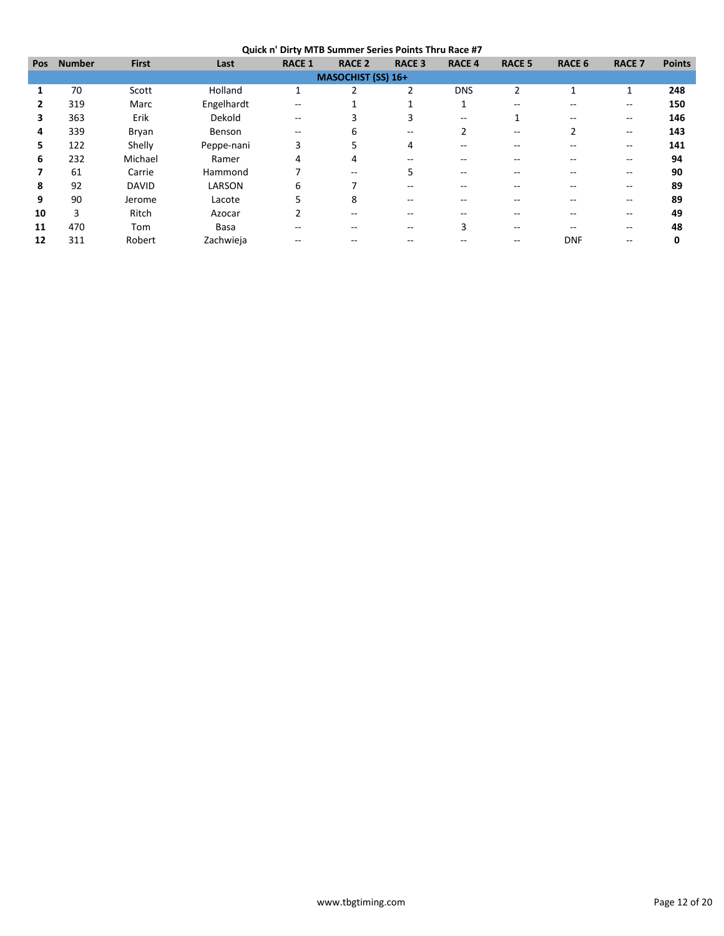**Quick n' Dirty MTB Summer Series Points Thru Race #7**

|            | ---------     |              |            |                          |                           |               |               |               |               |                          |               |
|------------|---------------|--------------|------------|--------------------------|---------------------------|---------------|---------------|---------------|---------------|--------------------------|---------------|
| <b>Pos</b> | <b>Number</b> | <b>First</b> | Last       | <b>RACE 1</b>            | <b>RACE 2</b>             | <b>RACE 3</b> | <b>RACE 4</b> | <b>RACE 5</b> | <b>RACE 6</b> | <b>RACE 7</b>            | <b>Points</b> |
|            |               |              |            |                          | <b>MASOCHIST (SS) 16+</b> |               |               |               |               |                          |               |
|            | 70            | Scott        | Holland    | $\overline{\phantom{a}}$ | 2                         | 2             | <b>DNS</b>    | 2             |               | 1                        | 248           |
|            | 319           | Marc         | Engelhardt | --                       |                           |               |               |               |               | --                       | 150           |
| 3          | 363           | Erik         | Dekold     | --                       | 3                         | 3             | $- -$         |               | $-$           | $- -$                    | 146           |
| 4          | 339           | Bryan        | Benson     | $-$                      | 6                         | $- -$         |               | $- -$         |               | $\overline{\phantom{m}}$ | 143           |
| 5.         | 122           | Shelly       | Peppe-nani | 3                        | 5                         | 4             |               |               |               | --                       | 141           |
| 6          | 232           | Michael      | Ramer      | 4                        | 4                         |               |               |               |               | --                       | 94            |
|            | 61            | Carrie       | Hammond    |                          | $- -$                     | 5             | --            |               | --            | --                       | 90            |
| 8          | 92            | <b>DAVID</b> | LARSON     | 6                        |                           |               |               |               |               | --                       | 89            |
| 9          | 90            | Jerome       | Lacote     | 5                        | 8                         | --            |               |               | --            | --                       | 89            |
| 10         | 3             | Ritch        | Azocar     | 2                        | --                        |               |               |               |               | --                       | 49            |
| 11         | 470           | Tom          | Basa       | --                       | --                        |               |               | --            |               | --                       | 48            |
| 12         | 311           | Robert       | Zachwieja  |                          |                           |               |               |               | <b>DNF</b>    | --                       | 0             |
|            |               |              |            |                          |                           |               |               |               |               |                          |               |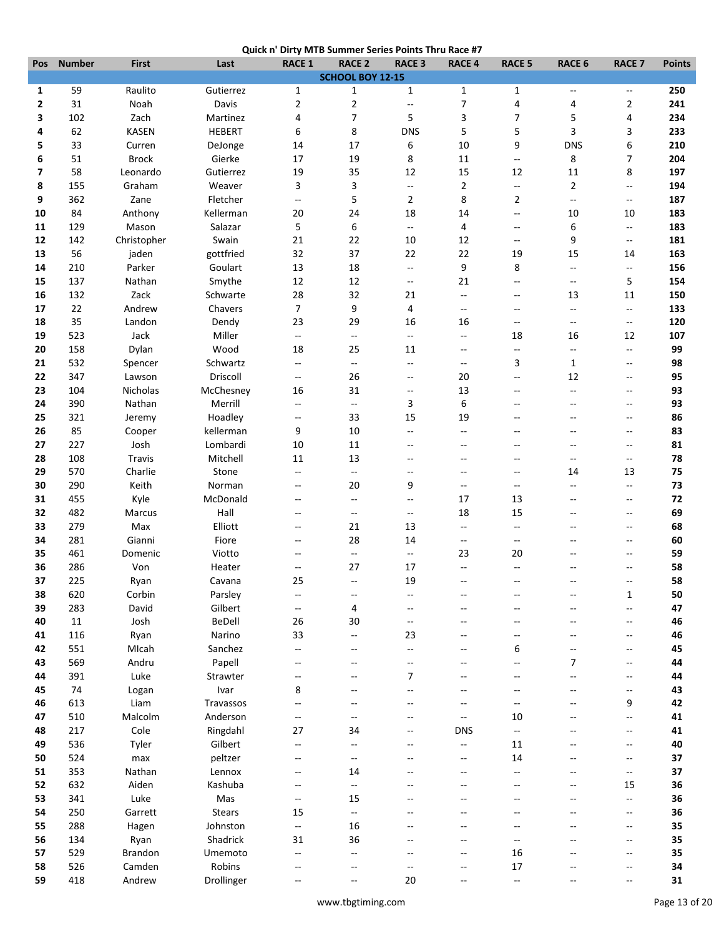|  | Quick n' Dirty MTB Summer Series Points Thru Race #7 |
|--|------------------------------------------------------|
|  |                                                      |

|     |               |               |               |                          | Quick had brity with Summer Series Points Thru Kace #7 |                           |                          |                                               |                          |                          |               |
|-----|---------------|---------------|---------------|--------------------------|--------------------------------------------------------|---------------------------|--------------------------|-----------------------------------------------|--------------------------|--------------------------|---------------|
| Pos | <b>Number</b> | <b>First</b>  | Last          | <b>RACE 1</b>            | <b>RACE 2</b>                                          | <b>RACE 3</b>             | <b>RACE 4</b>            | <b>RACE 5</b>                                 | <b>RACE 6</b>            | <b>RACE 7</b>            | <b>Points</b> |
|     |               |               |               |                          | SCHOOL BOY 12-15                                       |                           |                          |                                               |                          |                          |               |
| 1   | 59            | Raulito       | Gutierrez     | 1                        | $\mathbf{1}$                                           | $\mathbf{1}$              | $\mathbf{1}$             | $\mathbf{1}$                                  | Ξ.                       | Ξ.                       | 250           |
| 2   | 31            | Noah          | Davis         | 2                        | $\overline{2}$                                         | $\mathbb{L}^{\mathbb{L}}$ | $\overline{7}$           | 4                                             | 4                        | $\overline{2}$           | 241           |
| 3   | 102           | Zach          | Martinez      | 4                        | 7                                                      | 5                         | 3                        | $\overline{7}$                                | 5                        | 4                        | 234           |
| 4   | 62            | <b>KASEN</b>  | <b>HEBERT</b> | 6                        | 8                                                      | <b>DNS</b>                | 5                        | 5                                             | 3                        | 3                        | 233           |
| 5   | 33            | Curren        | DeJonge       | 14                       | 17                                                     | 6                         | 10                       | 9                                             | <b>DNS</b>               | 6                        | 210           |
| 6   | 51            | <b>Brock</b>  | Gierke        | 17                       | 19                                                     | 8                         | 11                       | $\mathord{\hspace{1pt}\text{--}\hspace{1pt}}$ | 8                        | 7                        | 204           |
| 7   | 58            | Leonardo      | Gutierrez     | 19                       | 35                                                     | 12                        | 15                       | 12                                            | 11                       | 8                        | 197           |
|     |               |               |               |                          |                                                        |                           |                          |                                               |                          |                          |               |
| 8   | 155           | Graham        | Weaver        | 3                        | 3                                                      | $\overline{\phantom{a}}$  | $\overline{2}$           | $\sim$                                        | $\overline{2}$           | --                       | 194           |
| 9   | 362           | Zane          | Fletcher      | ۰.                       | 5                                                      | $\overline{2}$            | 8                        | 2                                             | $\overline{\phantom{a}}$ | --                       | 187           |
| 10  | 84            | Anthony       | Kellerman     | 20                       | 24                                                     | 18                        | 14                       | $\overline{\phantom{a}}$                      | 10                       | 10                       | 183           |
| 11  | 129           | Mason         | Salazar       | 5                        | 6                                                      | $\overline{\phantom{a}}$  | 4                        | $\overline{\phantom{a}}$                      | 6                        | Ξ.                       | 183           |
| 12  | 142           | Christopher   | Swain         | 21                       | 22                                                     | 10                        | 12                       | $\mathcal{L} = \mathcal{L}$                   | 9                        | Ξ.                       | 181           |
| 13  | 56            | jaden         | gottfried     | 32                       | 37                                                     | 22                        | 22                       | 19                                            | 15                       | 14                       | 163           |
| 14  | 210           | Parker        | Goulart       | 13                       | 18                                                     | $\overline{\phantom{a}}$  | 9                        | 8                                             | Ξ.                       | $\overline{a}$           | 156           |
| 15  | 137           | Nathan        | Smythe        | 12                       | 12                                                     | $\overline{a}$            | 21                       | $-$                                           | $-$                      | 5                        | 154           |
| 16  | 132           | Zack          | Schwarte      | 28                       | 32                                                     | 21                        | $\overline{\phantom{a}}$ | $\sim$                                        | 13                       | 11                       | 150           |
| 17  | 22            | Andrew        | Chavers       | $\overline{7}$           | 9                                                      | 4                         | $\overline{\phantom{a}}$ | $\sim$ $\sim$                                 | ц.,                      | $\overline{\phantom{a}}$ | 133           |
|     |               |               |               |                          |                                                        |                           |                          |                                               |                          |                          |               |
| 18  | 35            | Landon        | Dendy         | 23                       | 29                                                     | 16                        | 16                       | $\overline{\phantom{a}}$                      | $\overline{\phantom{a}}$ | --                       | 120           |
| 19  | 523           | Jack          | Miller        | $\overline{\phantom{a}}$ | $\overline{\phantom{a}}$                               | $\overline{\phantom{a}}$  | $\overline{\phantom{a}}$ | 18                                            | 16                       | 12                       | 107           |
| 20  | 158           | Dylan         | Wood          | 18                       | 25                                                     | 11                        | $\sim$ $\sim$            | $\mathord{\hspace{1pt}\text{--}\hspace{1pt}}$ | $\overline{\phantom{a}}$ | $\overline{\phantom{a}}$ | 99            |
| 21  | 532           | Spencer       | Schwartz      | --                       | --                                                     | $\overline{\phantom{a}}$  | $\qquad \qquad -$        | 3                                             | $\mathbf{1}$             | Ξ.                       | 98            |
| 22  | 347           | Lawson        | Driscoll      | $\qquad \qquad -$        | 26                                                     | $\overline{\phantom{a}}$  | 20                       | $\overline{\phantom{a}}$                      | 12                       | $\overline{a}$           | 95            |
| 23  | 104           | Nicholas      | McChesney     | 16                       | 31                                                     | $\sim$                    | 13                       | $\sim$ $\sim$                                 | Ξ.                       | --                       | 93            |
| 24  | 390           | Nathan        | Merrill       | $\overline{\phantom{a}}$ | --                                                     | 3                         | 6                        | $-$                                           | $-$                      | --                       | 93            |
| 25  | 321           | Jeremy        | Hoadley       | --                       | 33                                                     | 15                        | 19                       | $\overline{\phantom{a}}$                      | --                       | --                       | 86            |
| 26  | 85            | Cooper        | kellerman     | 9                        | 10                                                     | $-$                       | $\overline{\phantom{a}}$ | $\overline{a}$                                | --                       | $\overline{a}$           | 83            |
| 27  | 227           | Josh          | Lombardi      | 10                       | 11                                                     | $\overline{\phantom{a}}$  | $\overline{\phantom{a}}$ | $\overline{a}$                                | $-$                      | $\overline{a}$           | 81            |
|     |               |               |               |                          |                                                        |                           |                          |                                               |                          |                          |               |
| 28  | 108           | Travis        | Mitchell      | 11                       | 13                                                     | $\overline{a}$            | $\overline{\phantom{a}}$ | $\overline{a}$                                | $\overline{\phantom{a}}$ | --                       | 78            |
| 29  | 570           | Charlie       | Stone         | $\overline{\phantom{a}}$ | Ξ.                                                     | $\overline{\phantom{a}}$  | $\overline{\phantom{a}}$ | $\overline{\phantom{m}}$                      | 14                       | 13                       | 75            |
| 30  | 290           | Keith         | Norman        | --                       | 20                                                     | 9                         | $\qquad \qquad -$        | $\sim$                                        | Ξ.                       | Ξ.                       | 73            |
| 31  | 455           | Kyle          | McDonald      | --                       | $\overline{\phantom{a}}$                               | $\overline{\phantom{a}}$  | 17                       | 13                                            | --                       | $\overline{a}$           | 72            |
| 32  | 482           | <b>Marcus</b> | Hall          | --                       | --                                                     | $\overline{\phantom{a}}$  | 18                       | 15                                            | --                       | --                       | 69            |
| 33  | 279           | Max           | Elliott       | $\overline{a}$           | 21                                                     | 13                        | $\mathbf{u}$             | $\mathbf{u}$                                  | $-$                      | Ξ.                       | 68            |
| 34  | 281           | Gianni        | Fiore         | --                       | 28                                                     | 14                        | $\overline{\phantom{a}}$ | $\sim$                                        | $-$                      | $\overline{a}$           | 60            |
| 35  | 461           | Domenic       | Viotto        | --                       | $\overline{a}$                                         | $\overline{\phantom{a}}$  | 23                       | 20                                            | $-$                      | $\overline{a}$           | 59            |
| 36  | 286           | Von           | Heater        | --                       | 27                                                     | 17                        | $\overline{\phantom{a}}$ | $\overline{\phantom{a}}$                      | $-$                      | $\overline{a}$           | 58            |
| 37  | 225           | Ryan          | Cavana        | 25                       |                                                        | 19                        |                          |                                               |                          |                          | 58            |
| 38  | 620           | Corbin        | Parsley       | --                       |                                                        | $-\,$                     |                          |                                               |                          | $\mathbf{1}$             | 50            |
|     |               |               |               |                          | --                                                     |                           |                          |                                               |                          |                          |               |
| 39  | 283           | David         | Gilbert       | $\overline{\phantom{a}}$ | 4                                                      | $\overline{a}$            | $\overline{a}$           | $-$                                           | $-$                      | --                       | 47            |
| 40  | 11            | Josh          | BeDell        | 26                       | 30                                                     | $\overline{\phantom{a}}$  |                          |                                               | --                       | $\overline{a}$           | 46            |
| 41  | 116           | Ryan          | Narino        | 33                       | --                                                     | 23                        |                          | --                                            | --                       | --                       | 46            |
| 42  | 551           | MIcah         | Sanchez       | $\overline{\phantom{a}}$ | --                                                     | $-$                       | $\overline{\phantom{m}}$ | 6                                             | $\overline{\phantom{a}}$ | --                       | 45            |
| 43  | 569           | Andru         | Papell        | --                       | $\overline{a}$                                         | $\overline{\phantom{a}}$  | $\overline{a}$           | $\overline{a}$                                | $\overline{7}$           | --                       | 44            |
| 44  | 391           | Luke          | Strawter      | --                       | --                                                     | $\overline{7}$            |                          | --                                            | --                       | --                       | 44            |
| 45  | 74            | Logan         | Ivar          | 8                        | --                                                     | $\overline{a}$            | --                       | $-$                                           | $-$                      | --                       | 43            |
| 46  | 613           | Liam          | Travassos     | --                       |                                                        |                           |                          | $\overline{\phantom{a}}$                      |                          | 9                        | 42            |
| 47  | 510           | Malcolm       | Anderson      | --                       | --                                                     | --                        | $\overline{\phantom{a}}$ | 10                                            | $-$                      | --                       | 41            |
| 48  | 217           | Cole          | Ringdahl      | 27                       | 34                                                     | $\overline{\phantom{a}}$  | <b>DNS</b>               | $\mathord{\hspace{1pt}\text{--}\hspace{1pt}}$ | $-$                      | $-$                      | 41            |
| 49  | 536           |               | Gilbert       | $\overline{\phantom{a}}$ | $-$                                                    | $\overline{\phantom{a}}$  | $\overline{\phantom{a}}$ | 11                                            | --                       | --                       | 40            |
|     |               | Tyler         |               |                          |                                                        |                           |                          |                                               |                          |                          |               |
| 50  | 524           | max           | peltzer       | --                       | --                                                     |                           | --                       | 14                                            |                          | --                       | 37            |
| 51  | 353           | Nathan        | Lennox        | --                       | 14                                                     |                           |                          | $-$                                           | $-$                      | --                       | 37            |
| 52  | 632           | Aiden         | Kashuba       | --                       | --                                                     |                           |                          |                                               | $-$                      | 15                       | 36            |
| 53  | 341           | Luke          | Mas           | $\overline{\phantom{a}}$ | 15                                                     |                           |                          |                                               | --                       | $\overline{a}$           | 36            |
| 54  | 250           | Garrett       | <b>Stears</b> | 15                       | $\overline{a}$                                         |                           |                          |                                               | --                       | --                       | 36            |
| 55  | 288           | Hagen         | Johnston      | Ξ.                       | 16                                                     |                           |                          |                                               | $-$                      | $\overline{a}$           | 35            |
| 56  | 134           | Ryan          | Shadrick      | 31                       | 36                                                     |                           |                          | $\overline{\phantom{a}}$                      |                          | $\overline{a}$           | 35            |
| 57  | 529           | Brandon       | Umemoto       | --                       | $\overline{a}$                                         | $\overline{a}$            | $\overline{a}$           | 16                                            |                          | $\overline{a}$           | 35            |
| 58  | 526           | Camden        | Robins        | --                       | --                                                     |                           |                          | 17                                            |                          | --                       | 34            |
| 59  | 418           | Andrew        | Drollinger    |                          |                                                        | 20                        |                          | $\mathbf{u}$                                  |                          |                          | 31            |
|     |               |               |               |                          |                                                        |                           |                          |                                               |                          |                          |               |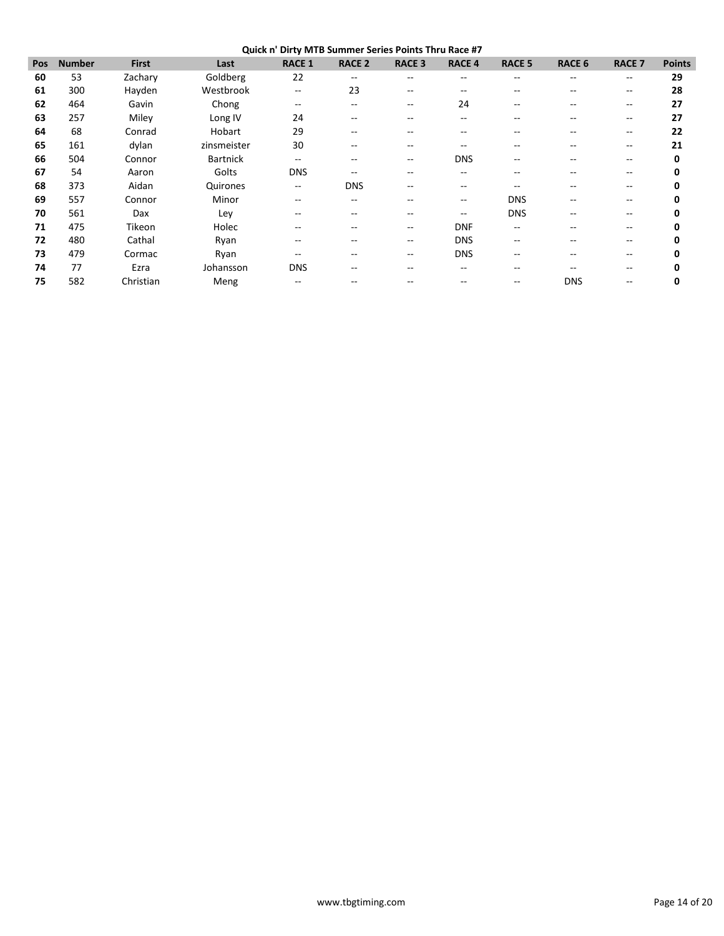**Quick n' Dirty MTB Summer Series Points Thru Race #7**

| Pos | <b>Number</b> | <b>First</b> | Last            | <b>RACE 1</b>            | <b>RACE 2</b>     | <b>RACE 3</b> | <b>RACE 4</b>            | <b>RACE 5</b> | <b>RACE 6</b> | <b>RACE 7</b> | <b>Points</b> |
|-----|---------------|--------------|-----------------|--------------------------|-------------------|---------------|--------------------------|---------------|---------------|---------------|---------------|
| 60  | 53            | Zachary      | Goldberg        | 22                       | $\hspace{0.05cm}$ | $- -$         | $\overline{\phantom{m}}$ | $- -$         | --            | --            | 29            |
| 61  | 300           | Hayden       | Westbrook       | --                       | 23                | --            |                          |               |               | $- -$         | 28            |
| 62  | 464           | Gavin        | Chong           | --                       | $\qquad \qquad -$ | $- -$         | 24                       |               |               | $- -$         | 27            |
| 63  | 257           | Miley        | Long IV         | 24                       | $\qquad \qquad -$ | --            | $- -$                    | --            | --            | $- -$         | 27            |
| 64  | 68            | Conrad       | Hobart          | 29                       | --                |               |                          |               |               | --            | 22            |
| 65  | 161           | dylan        | zinsmeister     | 30                       | $-$               | $- -$         | --                       | --            | --            | --            | 21            |
| 66  | 504           | Connor       | <b>Bartnick</b> | --                       | $- -$             | $- -$         | <b>DNS</b>               |               |               | $- -$         | 0             |
| 67  | 54            | Aaron        | Golts           | <b>DNS</b>               | $- -$             |               |                          |               |               | $- -$         | 0             |
| 68  | 373           | Aidan        | Quirones        | $\overline{\phantom{m}}$ | <b>DNS</b>        | $- -$         | $\qquad \qquad -$        | $- -$         | --            | $- -$         | 0             |
| 69  | 557           | Connor       | Minor           | --                       | --                | --            | $\overline{\phantom{m}}$ | <b>DNS</b>    | --            | $- -$         | 0             |
| 70  | 561           | Dax          | Ley             | --                       | $- -$             | --            | $- -$                    | <b>DNS</b>    | --            | --            | 0             |
| 71  | 475           | Tikeon       | Holec           | --                       | $- -$             | $- -$         | <b>DNF</b>               | $- -$         |               | $-$           | 0             |
| 72  | 480           | Cathal       | Ryan            | --                       | $- -$             | $- -$         | <b>DNS</b>               |               |               |               | 0             |
| 73  | 479           | Cormac       | Ryan            | --                       | --                | $- -$         | <b>DNS</b>               |               |               | --            | 0             |
| 74  | 77            | Ezra         | Johansson       | <b>DNS</b>               | --                | --            | --                       | --            | --            | $- -$         | 0             |
| 75  | 582           | Christian    | Meng            |                          |                   |               |                          |               | <b>DNS</b>    |               | 0             |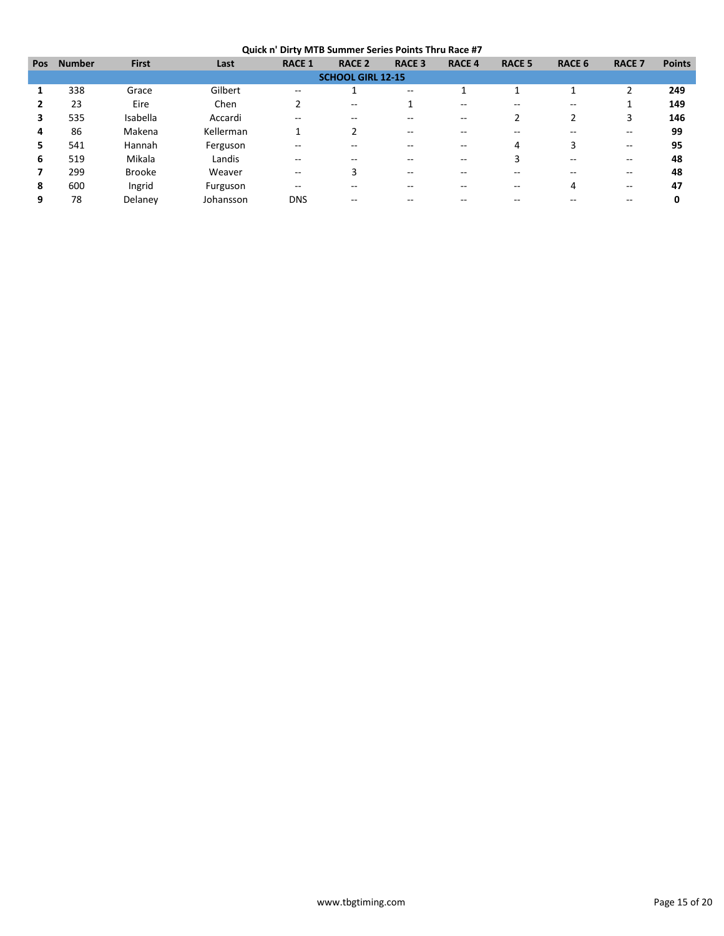| <b>Pos</b> | <b>Number</b> | <b>First</b>  | Last      | <b>RACE 1</b>     | <b>RACE 2</b>            | <b>RACE 3</b> | <b>RACE 4</b> | <b>RACE 5</b> | RACE 6                   | <b>RACE 7</b> | <b>Points</b> |
|------------|---------------|---------------|-----------|-------------------|--------------------------|---------------|---------------|---------------|--------------------------|---------------|---------------|
|            |               |               |           |                   | <b>SCHOOL GIRL 12-15</b> |               |               |               |                          |               |               |
|            | 338           | Grace         | Gilbert   | $- -$             |                          | $- -$         |               |               |                          | ∍             | 249           |
|            | 23            | Eire          | Chen      | 2                 | --                       |               | --            | --            | $\overline{\phantom{m}}$ |               | 149           |
| 3          | 535           | Isabella      | Accardi   | $- -$             | --                       |               |               |               | 2                        | 3             | 146           |
| 4          | 86            | Makena        | Kellerman |                   | $\overline{2}$           | --            |               |               |                          | --            | 99            |
| 5          | 541           | Hannah        | Ferguson  |                   |                          |               |               | 4             | 3                        | --            | 95            |
| 6          | 519           | Mikala        | Landis    | $- -$             | --                       |               |               |               | $\sim$ $\sim$            | $- -$         | 48            |
|            | 299           | <b>Brooke</b> | Weaver    | $\qquad \qquad -$ | 3                        | --            |               |               | --                       | --            | 48            |
| 8          | 600           | Ingrid        | Furguson  | $- -$             | --                       | --            |               | --            | 4                        | --            | 47            |
| 9          | 78            | Delaney       | Johansson | <b>DNS</b>        | --                       |               |               |               |                          |               |               |
|            |               |               |           |                   |                          |               |               |               |                          |               |               |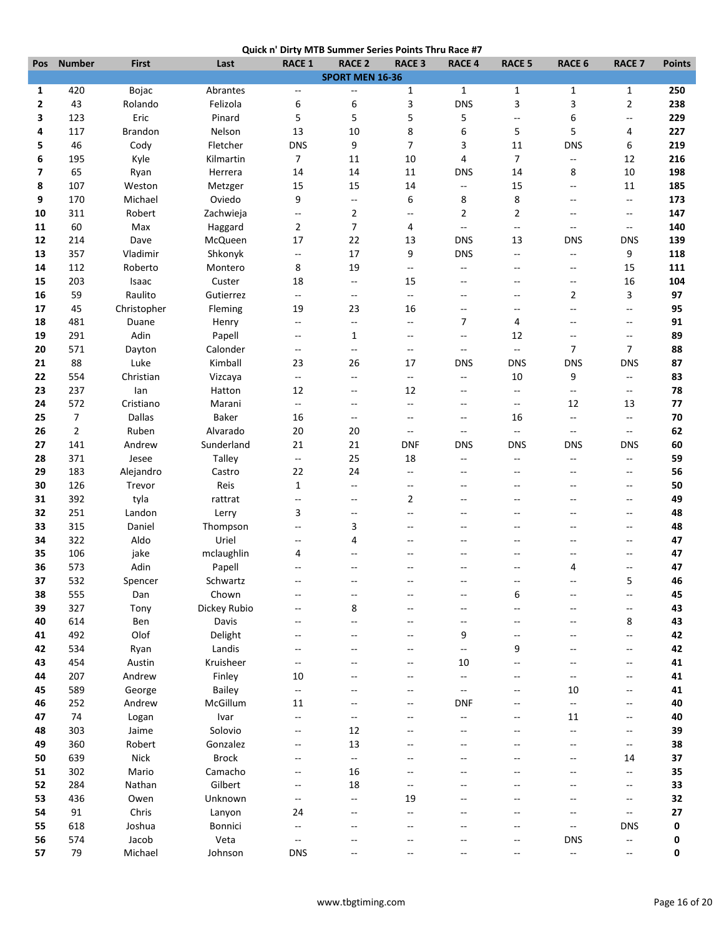|  | Quick n' Dirty MTB Summer Series Points Thru Race #7 |
|--|------------------------------------------------------|
|  |                                                      |

|     |                |                |               |                          | QUICK IT DITTY IVITD SUMMER SETTES POINTS THIN NACE #7 |                           |                          |                          |                             |                          |               |
|-----|----------------|----------------|---------------|--------------------------|--------------------------------------------------------|---------------------------|--------------------------|--------------------------|-----------------------------|--------------------------|---------------|
| Pos | <b>Number</b>  | <b>First</b>   | Last          | <b>RACE 1</b>            | <b>RACE 2</b>                                          | <b>RACE 3</b>             | <b>RACE 4</b>            | <b>RACE 5</b>            | <b>RACE 6</b>               | <b>RACE 7</b>            | <b>Points</b> |
|     |                |                |               |                          | SPORT MEN 16-36                                        |                           |                          |                          |                             |                          |               |
| 1   | 420            | Bojac          | Abrantes      | $\overline{\phantom{a}}$ | $\overline{a}$                                         | 1                         | $\mathbf{1}$             | $\mathbf{1}$             | $\mathbf 1$                 | 1                        | 250           |
| 2   | 43             | Rolando        | Felizola      | 6                        | 6                                                      | 3                         | <b>DNS</b>               | 3                        | 3                           | $\mathbf{2}$             | 238           |
| 3   | 123            | Eric           | Pinard        | 5                        | 5                                                      | 5                         | 5                        | $\overline{a}$           | 6                           | Ξ.                       | 229           |
| 4   | 117            | <b>Brandon</b> | Nelson        | 13                       | 10                                                     | 8                         | 6                        | 5                        | 5                           | 4                        | 227           |
| 5   | 46             | Cody           | Fletcher      | <b>DNS</b>               | 9                                                      | 7                         | 3                        | 11                       | <b>DNS</b>                  | 6                        | 219           |
| 6   | 195            | Kyle           | Kilmartin     | $\overline{7}$           | 11                                                     | 10                        | 4                        | $\overline{7}$           | $\overline{\phantom{a}}$    | 12                       | 216           |
| 7   | 65             | Ryan           | Herrera       | 14                       | 14                                                     | 11                        | <b>DNS</b>               | 14                       | 8                           | 10                       | 198           |
| 8   | 107            | Weston         | Metzger       | 15                       | 15                                                     | 14                        | $\overline{\phantom{a}}$ | 15                       | --                          | 11                       | 185           |
| 9   | 170            | Michael        | Oviedo        | 9                        | ۰.                                                     | 6                         | 8                        | 8                        | --                          | Ξ.                       | 173           |
| 10  | 311            | Robert         | Zachwieja     | ۰.                       | $\overline{2}$                                         | $-$                       | $\overline{2}$           | $\overline{2}$           | $\overline{\phantom{a}}$    | $\qquad \qquad -$        | 147           |
| 11  | 60             |                |               |                          | 7                                                      | 4                         | $\overline{\phantom{a}}$ | цц.                      | $\overline{\phantom{a}}$    | $\overline{\phantom{a}}$ | 140           |
|     |                | Max            | Haggard       | $\overline{2}$           |                                                        |                           |                          |                          |                             |                          |               |
| 12  | 214            | Dave           | McQueen       | 17                       | 22                                                     | 13                        | <b>DNS</b>               | 13                       | <b>DNS</b>                  | <b>DNS</b>               | 139           |
| 13  | 357            | Vladimir       | Shkonyk       | ۰.                       | 17                                                     | 9                         | <b>DNS</b>               | $\overline{\phantom{a}}$ | $\overline{\phantom{a}}$    | 9                        | 118           |
| 14  | 112            | Roberto        | Montero       | 8                        | 19                                                     | $-$                       | $\qquad \qquad -$        | $-$                      | --                          | 15                       | 111           |
| 15  | 203            | Isaac          | Custer        | 18                       | $\qquad \qquad -$                                      | 15                        | $\overline{\phantom{a}}$ | $-$                      | $\overline{\phantom{a}}$    | 16                       | 104           |
| 16  | 59             | Raulito        | Gutierrez     | $\overline{\phantom{a}}$ | $\qquad \qquad -$                                      | $\mathbb{L}^{\mathbb{L}}$ | $-$                      | $-$                      | 2                           | 3                        | 97            |
| 17  | 45             | Christopher    | Fleming       | 19                       | 23                                                     | 16                        | $\overline{\phantom{a}}$ | $-$                      | --                          | $-$                      | 95            |
| 18  | 481            | Duane          | Henry         | $\overline{\phantom{a}}$ | $\overline{\phantom{a}}$                               | $-$                       | $\overline{7}$           | 4                        | --                          | $\overline{\phantom{a}}$ | 91            |
| 19  | 291            | Adin           | Papell        | $\overline{\phantom{a}}$ | $\mathbf{1}$                                           | $-$                       | $-$                      | 12                       | $-$                         | $\qquad \qquad -$        | 89            |
| 20  | 571            | Dayton         | Calonder      | $\overline{\phantom{a}}$ | $\overline{a}$                                         | $\overline{a}$            | $\overline{\phantom{a}}$ | $\overline{\phantom{a}}$ | 7                           | 7                        | 88            |
| 21  | 88             | Luke           | Kimball       | 23                       | 26                                                     | 17                        | <b>DNS</b>               | <b>DNS</b>               | <b>DNS</b>                  | <b>DNS</b>               | 87            |
| 22  | 554            | Christian      | Vizcaya       | $\overline{\phantom{a}}$ | $-$                                                    | $\overline{\phantom{a}}$  | $\overline{\phantom{a}}$ | 10                       | 9                           | $\overline{\phantom{a}}$ | 83            |
| 23  | 237            | lan            | Hatton        | 12                       | $\overline{\phantom{a}}$                               | 12                        | $-$                      | $\overline{\phantom{a}}$ | $\mathcal{L}^{\mathcal{L}}$ | $\qquad \qquad -$        | 78            |
|     | 572            | Cristiano      |               |                          |                                                        |                           |                          |                          | 12                          |                          |               |
| 24  |                |                | Marani        | $\overline{\phantom{a}}$ | --                                                     | $\overline{\phantom{a}}$  | $\overline{\phantom{a}}$ | $\overline{\phantom{a}}$ |                             | 13                       | 77            |
| 25  | $\overline{7}$ | Dallas         | <b>Baker</b>  | 16                       | --                                                     | $\overline{\phantom{a}}$  | $\overline{\phantom{a}}$ | 16                       | $\overline{\phantom{a}}$    | $\overline{\phantom{a}}$ | 70            |
| 26  | $\overline{2}$ | Ruben          | Alvarado      | 20                       | 20                                                     | $-$                       | $\overline{\phantom{a}}$ | $\overline{a}$           | $\mathbf{L}$                | $\overline{\phantom{a}}$ | 62            |
| 27  | 141            | Andrew         | Sunderland    | 21                       | 21                                                     | <b>DNF</b>                | <b>DNS</b>               | <b>DNS</b>               | <b>DNS</b>                  | <b>DNS</b>               | 60            |
| 28  | 371            | Jesee          | Talley        | $\overline{\phantom{a}}$ | 25                                                     | 18                        | $\qquad \qquad -$        | $-$                      | $\overline{\phantom{a}}$    | Ξ.                       | 59            |
| 29  | 183            | Alejandro      | Castro        | 22                       | 24                                                     | $-$                       | $\overline{\phantom{a}}$ | --                       | $\sim$                      | $\overline{\phantom{a}}$ | 56            |
| 30  | 126            | Trevor         | Reis          | $\mathbf{1}$             | $\overline{\phantom{a}}$                               | $\overline{\phantom{a}}$  | --                       | --                       | --                          | $\overline{\phantom{a}}$ | 50            |
| 31  | 392            | tyla           | rattrat       | $\overline{\phantom{a}}$ | $-$                                                    | $\overline{2}$            | $\overline{a}$           | $-$                      | $-$                         | --                       | 49            |
| 32  | 251            | Landon         | Lerry         | 3                        | $-$                                                    | $\overline{a}$            | $\overline{a}$           | $-$                      | $-$                         | $\overline{\phantom{a}}$ | 48            |
| 33  | 315            | Daniel         | Thompson      | $\overline{\phantom{a}}$ | 3                                                      |                           |                          |                          | --                          | --                       | 48            |
| 34  | 322            | Aldo           | Uriel         | --                       | 4                                                      |                           |                          |                          | --                          | $-$                      | 47            |
| 35  | 106            | jake           | mclaughlin    | 4                        | $\overline{a}$                                         | $\overline{a}$            | $\sim$                   | $-$                      | $-$                         | $\overline{a}$           | 47            |
| 36  | 573            | Adin           | Papell        | $-$                      | $-$                                                    | $\overline{a}$            | $\sim$                   | $-$                      | 4                           | $-$                      | 47            |
|     |                |                |               |                          |                                                        |                           |                          |                          |                             |                          |               |
| 37  | 532            | Spencer        | Schwartz      |                          |                                                        |                           |                          |                          |                             | 5                        | 46            |
| 38  | 555            | Dan            | Chown         |                          | $-\, -$                                                |                           |                          | 6                        |                             | --                       | 45            |
| 39  | 327            | Tony           | Dickey Rubio  |                          | 8                                                      |                           |                          |                          |                             | $-$                      | 43            |
| 40  | 614            | Ben            | Davis         | --                       | --                                                     |                           | --                       |                          | --                          | 8                        | 43            |
| 41  | 492            | Olof           | Delight       | $\overline{\phantom{a}}$ | $\overline{a}$                                         | $\overline{a}$            | 9                        | --                       | $-$                         | Ξ.                       | 42            |
| 42  | 534            | Ryan           | Landis        | ۰.                       |                                                        |                           | $\overline{\phantom{a}}$ | 9                        | --                          | --                       | 42            |
| 43  | 454            | Austin         | Kruisheer     | $\overline{\phantom{a}}$ |                                                        | --                        | 10                       | --                       | --                          | --                       | 41            |
| 44  | 207            | Andrew         | Finley        | 10                       | $\overline{a}$                                         | --                        | $\overline{\phantom{a}}$ | $-$                      | $\overline{\phantom{a}}$    | $\overline{\phantom{a}}$ | 41            |
| 45  | 589            | George         | <b>Bailey</b> | $\overline{\phantom{a}}$ |                                                        |                           | $\overline{a}$           |                          | 10                          | --                       | 41            |
| 46  | 252            | Andrew         | McGillum      | 11                       |                                                        |                           | <b>DNF</b>               |                          | $\mathcal{L}_{\mathcal{F}}$ | --                       | 40            |
| 47  | 74             | Logan          | Ivar          | Ξ.                       | $-$                                                    | $\sim$                    | $\overline{\phantom{a}}$ |                          | 11                          | $-$                      | 40            |
| 48  | 303            | Jaime          | Solovio       | $-$                      | 12                                                     |                           | $\overline{a}$           |                          | $\overline{\phantom{a}}$    | $-$                      | 39            |
| 49  | 360            | Robert         | Gonzalez      | --                       | 13                                                     |                           |                          |                          | --                          | $\overline{\phantom{a}}$ | 38            |
|     |                |                |               |                          |                                                        |                           |                          |                          |                             |                          |               |
| 50  | 639            | Nick           | <b>Brock</b>  | --                       | $\overline{\phantom{a}}$                               |                           |                          |                          | --                          | 14                       | 37            |
| 51  | 302            | Mario          | Camacho       | $\overline{\phantom{a}}$ | 16                                                     |                           |                          |                          | Ξ.                          | Ξ.                       | 35            |
| 52  | 284            | Nathan         | Gilbert       | --                       | 18                                                     | $-$                       |                          |                          | --                          | $-$                      | 33            |
| 53  | 436            | Owen           | Unknown       | --                       | $\overline{\phantom{a}}$                               | 19                        |                          |                          | --                          | $\overline{\phantom{a}}$ | 32            |
| 54  | 91             | Chris          | Lanyon        | 24                       | --                                                     |                           |                          |                          | $-$                         | --                       | 27            |
| 55  | 618            | Joshua         | Bonnici       | $-$                      | $-$                                                    | $\overline{a}$            |                          | $-$                      | Ξ.                          | <b>DNS</b>               | 0             |
| 56  | 574            | Jacob          | Veta          | ۰.                       | $\sim$                                                 |                           |                          | $-$                      | <b>DNS</b>                  | --                       | 0             |
| 57  | 79             | Michael        | Johnson       | <b>DNS</b>               |                                                        |                           |                          |                          | $\overline{\phantom{a}}$    | --                       | 0             |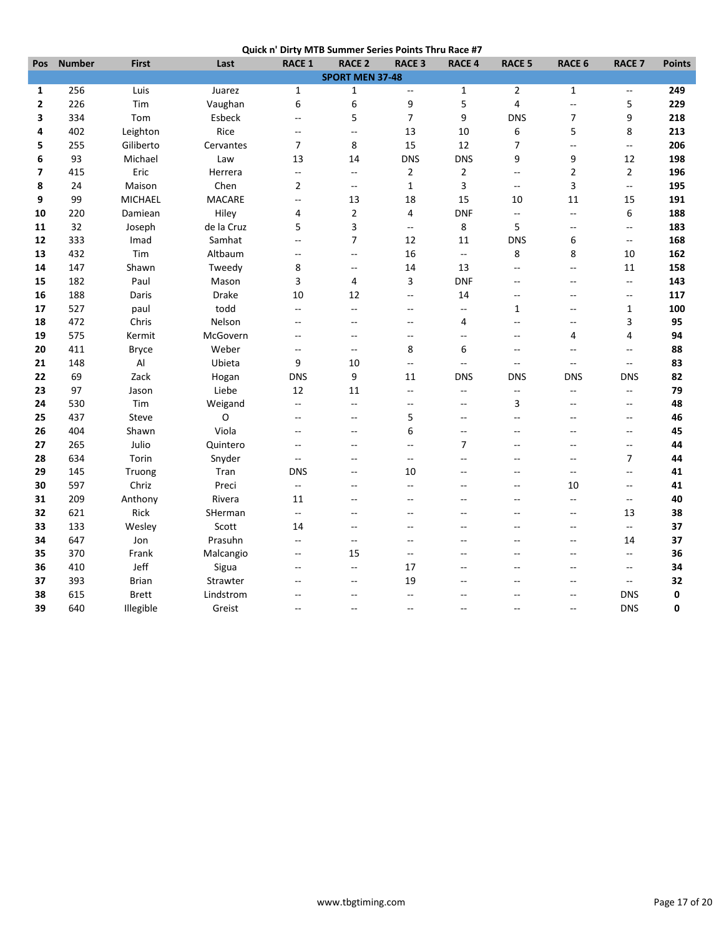|  | Quick n' Dirty MTB Summer Series Points Thru Race #7 |
|--|------------------------------------------------------|
|  |                                                      |

| Pos                      | <b>Number</b>          | <b>First</b> | Last          | <b>RACE 1</b>            | <b>RACE 2</b>            | <b>RACE 3</b>                                 | <b>RACE 4</b>            | <b>RACE 5</b>            | <b>RACE 6</b>            | <b>RACE 7</b>            | <b>Points</b> |
|--------------------------|------------------------|--------------|---------------|--------------------------|--------------------------|-----------------------------------------------|--------------------------|--------------------------|--------------------------|--------------------------|---------------|
|                          | <b>SPORT MEN 37-48</b> |              |               |                          |                          |                                               |                          |                          |                          |                          |               |
| 1                        | 256                    | Luis         | Juarez        | $\mathbf{1}$             | $\mathbf{1}$             | 4                                             | $\mathbf{1}$             | $\overline{2}$           | $\mathbf{1}$             | $\overline{\phantom{a}}$ | 249           |
| $\overline{2}$           | 226                    | Tim          | Vaughan       | 6                        | 6                        | 9                                             | 5                        | $\overline{\mathbf{4}}$  | $\bar{\omega}$           | 5                        | 229           |
| 3                        | 334                    | Tom          | Esbeck        | $\overline{\phantom{a}}$ | 5                        | $\overline{7}$                                | 9                        | <b>DNS</b>               | $\overline{7}$           | 9                        | 218           |
| 4                        | 402                    | Leighton     | Rice          | $-$                      | ÷-                       | 13                                            | 10                       | 6                        | 5                        | 8                        | 213           |
| 5                        | 255                    | Giliberto    | Cervantes     | $\overline{7}$           | 8                        | 15                                            | 12                       | $\overline{7}$           | Ξ.                       | $\overline{\phantom{a}}$ | 206           |
| 6                        | 93                     | Michael      | Law           | 13                       | 14                       | <b>DNS</b>                                    | <b>DNS</b>               | 9                        | 9                        | 12                       | 198           |
| $\overline{\phantom{a}}$ | 415                    | Eric         | Herrera       | $\overline{\phantom{a}}$ | $\overline{\phantom{a}}$ | $\overline{2}$                                | $\overline{2}$           | Ξ.                       | $\overline{2}$           | $\overline{2}$           | 196           |
| 8                        | 24                     | Maison       | Chen          | $\overline{2}$           | $\overline{\phantom{a}}$ | $1\,$                                         | $\overline{3}$           | ÷.                       | 3                        | ц.                       | 195           |
| 9                        | 99                     | MICHAEL      | <b>MACARE</b> | $\overline{a}$           | 13                       | 18                                            | 15                       | 10                       | 11                       | 15                       | 191           |
| 10                       | 220                    | Damiean      | Hiley         | 4                        | $\mathbf 2$              | 4                                             | <b>DNF</b>               | $\overline{\phantom{a}}$ | $\overline{\phantom{a}}$ | 6                        | 188           |
| 11                       | 32                     | Joseph       | de la Cruz    | 5                        | 3                        | $-$                                           | 8                        | 5                        | $\overline{\phantom{a}}$ | $\overline{\phantom{a}}$ | 183           |
| 12                       | 333                    | Imad         | Samhat        | Ξ.                       | $\overline{7}$           | 12                                            | 11                       | <b>DNS</b>               | 6                        | $\overline{\phantom{a}}$ | 168           |
| 13                       | 432                    | Tim          | Altbaum       | $\overline{\phantom{a}}$ | $\overline{\phantom{a}}$ | 16                                            | --                       | 8                        | 8                        | 10                       | 162           |
| 14                       | 147                    | Shawn        | Tweedy        | 8                        | --                       | 14                                            | 13                       | $\overline{a}$           | $\overline{\phantom{a}}$ | 11                       | 158           |
| 15                       | 182                    | Paul         | Mason         | 3                        | 4                        | 3                                             | <b>DNF</b>               | Ξ.                       | $\overline{\phantom{a}}$ | $\overline{\phantom{a}}$ | 143           |
| 16                       | 188                    | Daris        | Drake         | 10                       | 12                       | $-$                                           | 14                       | $\overline{a}$           | $\overline{\phantom{a}}$ | $\overline{\phantom{a}}$ | 117           |
| 17                       | 527                    | paul         | todd          | $\overline{\phantom{a}}$ | $-$                      | $\overline{a}$                                | $\overline{\phantom{a}}$ | $\mathbf{1}$             | $-$                      | $\mathbf 1$              | 100           |
| 18                       | 472                    | Chris        | Nelson        | --                       | $\overline{\phantom{a}}$ | $\overline{a}$                                | $\overline{4}$           | $\overline{a}$           | $\overline{\phantom{a}}$ | 3                        | 95            |
| 19                       | 575                    | Kermit       | McGovern      | $-$                      | $\overline{\phantom{a}}$ | $\overline{a}$                                | $\overline{a}$           | $\overline{a}$           | 4                        | 4                        | 94            |
| 20                       | 411                    | <b>Bryce</b> | Weber         | $\overline{\phantom{a}}$ | $\overline{a}$           | 8                                             | 6                        | $\overline{\phantom{a}}$ | $\overline{\phantom{a}}$ | $\overline{\phantom{a}}$ | 88            |
| 21                       | 148                    | Al           | Ubieta        | 9                        | 10                       | $\overline{\phantom{a}}$                      | --                       | $-$                      | $\overline{a}$           | $\overline{\phantom{a}}$ | 83            |
| 22                       | 69                     | Zack         | Hogan         | <b>DNS</b>               | 9                        | 11                                            | <b>DNS</b>               | <b>DNS</b>               | <b>DNS</b>               | <b>DNS</b>               | 82            |
| 23                       | 97                     | Jason        | Liebe         | 12                       | 11                       | ÷.                                            | $\overline{\phantom{a}}$ | $\overline{\phantom{a}}$ | ц.,                      | $\overline{\phantom{a}}$ | 79            |
| 24                       | 530                    | Tim          | Weigand       | Ξ.                       | $\overline{a}$           | $\sim$                                        | $\sim$                   | 3                        | $\sim$                   | $\sim$                   | 48            |
| 25                       | 437                    | Steve        | O             | $\overline{\phantom{a}}$ | $-$                      | 5                                             | $\overline{a}$           | $\overline{a}$           | $\overline{a}$           | $\overline{\phantom{a}}$ | 46            |
| 26                       | 404                    | Shawn        | Viola         | $\overline{\phantom{a}}$ | --                       | 6                                             | $\overline{a}$           | $-$                      | $-$                      | $\qquad \qquad -$        | 45            |
| 27                       | 265                    | Julio        | Quintero      | 44                       | $-$                      | $\overline{a}$                                | $\overline{7}$           | $\sim$                   | $\sim$                   | 44                       | 44            |
| 28                       | 634                    | Torin        | Snyder        | $\overline{\phantom{a}}$ | --                       | $\overline{a}$                                | $\sim$                   | $\sim$                   | $\overline{a}$           | 7                        | 44            |
| 29                       | 145                    | Truong       | Tran          | <b>DNS</b>               | --                       | 10                                            | $\sim$                   | $-$                      | $\overline{\phantom{a}}$ | $\overline{\phantom{a}}$ | 41            |
| 30                       | 597                    | Chriz        | Preci         | Ξ.                       | $\overline{\phantom{a}}$ | $\mathord{\hspace{1pt}\text{--}\hspace{1pt}}$ | $\sim$                   | $\overline{a}$           | 10                       | $\overline{\phantom{a}}$ | 41            |
| 31                       | 209                    | Anthony      | Rivera        | 11                       | $-$                      | $\overline{a}$                                | $\overline{a}$           | $\overline{a}$           | $\ddotsc$                | $\overline{\phantom{a}}$ | 40            |
| 32                       | 621                    | Rick         | SHerman       | $-$                      | $\overline{a}$           | $\sim$                                        | $\sim$                   | $\sim$                   | $-$                      | 13                       | 38            |
| 33                       | 133                    | Wesley       | Scott         | 14                       | $-$                      | $\sim$                                        |                          |                          | $\overline{\phantom{a}}$ | $\overline{\phantom{a}}$ | 37            |
| 34                       | 647                    | Jon          | Prasuhn       | $\overline{\phantom{a}}$ | $\overline{\phantom{a}}$ | --                                            |                          |                          | $\overline{\phantom{a}}$ | 14                       | 37            |
| 35                       | 370                    | Frank        | Malcangio     | $\overline{\phantom{a}}$ | 15                       | $\overline{a}$                                |                          | $\sim$                   | $-$                      | $\overline{\phantom{a}}$ | 36            |
| 36                       | 410                    | Jeff         | Sigua         | $\qquad \qquad -$        | $\overline{\phantom{a}}$ | 17                                            | $\sim$                   | $-$                      | $\overline{a}$           | $\sim$ $\sim$            | 34            |
| 37                       | 393                    | <b>Brian</b> | Strawter      | $-$                      | $\overline{a}$           | 19                                            |                          |                          | --                       | $\overline{\phantom{a}}$ | 32            |
| 38                       | 615                    | <b>Brett</b> | Lindstrom     |                          | $\overline{a}$           | $\overline{a}$                                |                          |                          | $\overline{a}$           | <b>DNS</b>               | 0             |
| 39                       | 640                    | Illegible    | Greist        | $\overline{a}$           | $-$                      | $\sim$                                        | $\sim$                   | $-$                      | $\sim$                   | <b>DNS</b>               | 0             |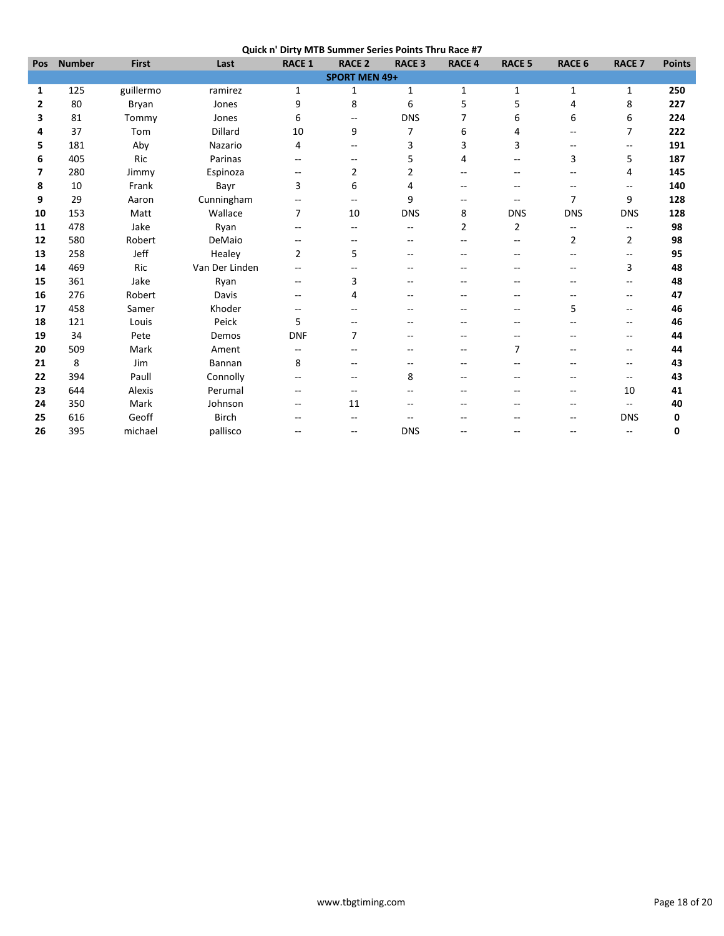|              | -------       |              |                |               |                          |                |               |               |                |                          |               |
|--------------|---------------|--------------|----------------|---------------|--------------------------|----------------|---------------|---------------|----------------|--------------------------|---------------|
| Pos          | <b>Number</b> | <b>First</b> | Last           | <b>RACE 1</b> | <b>RACE 2</b>            | <b>RACE 3</b>  | <b>RACE 4</b> | <b>RACE 5</b> | <b>RACE 6</b>  | <b>RACE 7</b>            | <b>Points</b> |
|              |               |              |                |               | <b>SPORT MEN 49+</b>     |                |               |               |                |                          |               |
| 1            | 125           | guillermo    | ramirez        | $\mathbf 1$   | 1                        | $\mathbf{1}$   | $\mathbf{1}$  | 1             | 1              | 1                        | 250           |
| $\mathbf{2}$ | 80            | Bryan        | Jones          | 9             | 8                        | 6              | 5             | 5             | 4              | 8                        | 227           |
| 3            | 81            | Tommy        | Jones          | 6             | $\overline{\phantom{a}}$ | <b>DNS</b>     | 7             | 6             | 6              | 6                        | 224           |
| 4            | 37            | Tom          | Dillard        | 10            | 9                        | 7              | 6             | 4             | $-$            | $\overline{7}$           | 222           |
| 5            | 181           | Aby          | Nazario        | 4             | --                       | 3              | 3             | 3             | $-$            | $-$                      | 191           |
| 6            | 405           | Ric          | Parinas        | $- -$         | $\overline{\phantom{a}}$ | 5              | 4             | $-$           | 3              | 5                        | 187           |
| 7            | 280           | Jimmy        | Espinoza       | --            | $\overline{2}$           | $\overline{2}$ |               |               | --             | 4                        | 145           |
| 8            | 10            | Frank        | Bayr           | 3             | 6                        | 4              |               |               |                | $\overline{\phantom{a}}$ | 140           |
| 9            | 29            | Aaron        | Cunningham     | --            | $\overline{\phantom{a}}$ | 9              | --            | $\sim$ $\sim$ | $\overline{7}$ | 9                        | 128           |
| 10           | 153           | Matt         | Wallace        | 7             | 10                       | <b>DNS</b>     | 8             | <b>DNS</b>    | <b>DNS</b>     | <b>DNS</b>               | 128           |
| 11           | 478           | Jake         | Ryan           | --            | --                       | $-$            | 2             | 2             | --             | $\overline{\phantom{a}}$ | 98            |
| 12           | 580           | Robert       | DeMaio         | $- -$         | --                       |                |               | $-1$          | $\overline{2}$ | $\overline{2}$           | 98            |
| 13           | 258           | Jeff         | Healey         | 2             | 5                        |                |               |               | --             | $\overline{\phantom{m}}$ | 95            |
| 14           | 469           | Ric          | Van Der Linden | --            |                          |                |               |               | --             | 3                        | 48            |
| 15           | 361           | Jake         | Ryan           | $- -$         | 3                        |                |               |               | $-$            | $-$                      | 48            |
| 16           | 276           | Robert       | Davis          | $-$           | 4                        |                |               |               | $-$            | $\overline{\phantom{a}}$ | 47            |
| 17           | 458           | Samer        | Khoder         | --            | --                       |                |               |               | 5              | $-$                      | 46            |
| 18           | 121           | Louis        | Peick          | 5             | --                       |                |               |               | --             | $\overline{\phantom{m}}$ | 46            |
| 19           | 34            | Pete         | Demos          | <b>DNF</b>    | $\overline{7}$           |                |               |               |                | --                       | 44            |
| 20           | 509           | Mark         | Ament          | --            | --                       |                |               | 7             |                | --                       | 44            |
| 21           | 8             | Jim          | Bannan         | 8             | --                       | $-$            | $-$           | --            | $-$            | $\overline{\phantom{a}}$ | 43            |
| 22           | 394           | Paull        | Connolly       | --            | --                       | 8              |               |               |                | $-$                      | 43            |
| 23           | 644           | Alexis       | Perumal        | $-$           | $-$                      |                |               |               | $-$            | 10                       | 41            |
| 24           | 350           | Mark         | Johnson        | --            | 11                       | --             |               |               | --             | $\overline{\phantom{a}}$ | 40            |
| 25           | 616           | Geoff        | <b>Birch</b>   |               |                          |                |               |               | --             | <b>DNS</b>               | 0             |
| 26           | 395           | michael      | pallisco       | $-$           | $\overline{\phantom{a}}$ | <b>DNS</b>     |               |               | $-$            | $\overline{\phantom{a}}$ | 0             |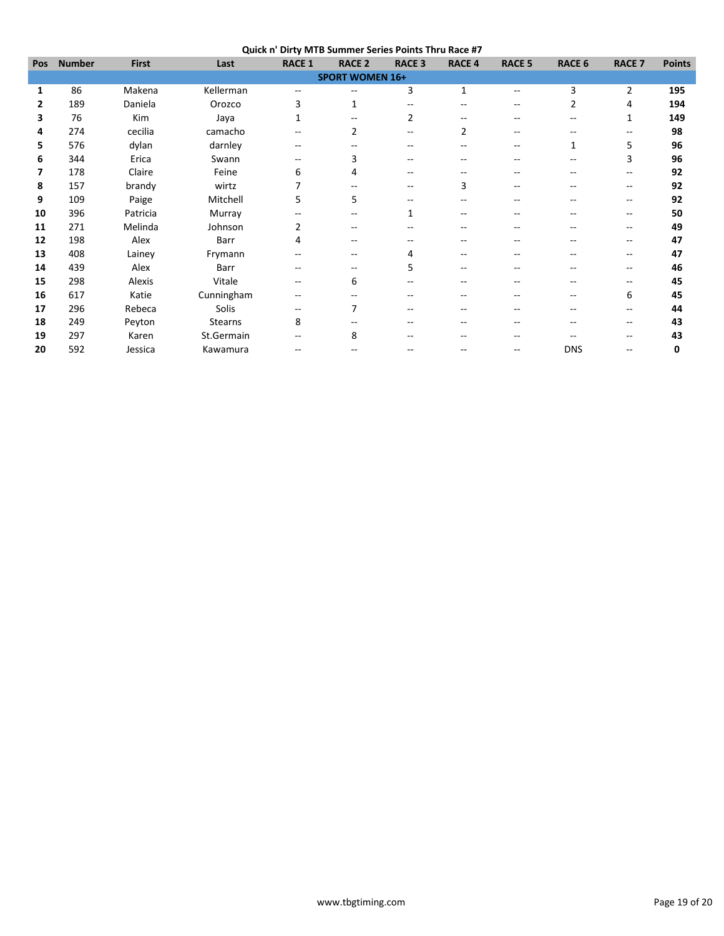**Quick n' Dirty MTB Summer Series Points Thru Race #7**

| Pos | <b>Number</b> | <b>First</b> | Last           | <b>RACE 1</b> | <b>RACE 2</b>          | <b>RACE 3</b> | <b>RACE 4</b> | <b>RACE 5</b> | <b>RACE 6</b> | <b>RACE 7</b>            | <b>Points</b> |
|-----|---------------|--------------|----------------|---------------|------------------------|---------------|---------------|---------------|---------------|--------------------------|---------------|
|     |               |              |                |               | <b>SPORT WOMEN 16+</b> |               |               |               |               |                          |               |
| 1   | 86            | Makena       | Kellerman      | --            | --                     | 3             | $\mathbf{1}$  | $-$           | 3             | $\overline{2}$           | 195           |
| 2   | 189           | Daniela      | Orozco         | 3             | 1                      |               |               |               | 2             | 4                        | 194           |
| 3   | 76            | Kim          | Jaya           | 1             |                        | 2             |               |               |               | 1                        | 149           |
| 4   | 274           | cecilia      | camacho        | --            | 2                      |               |               |               |               | --                       | 98            |
| 5   | 576           | dylan        | darnley        | --            |                        |               |               |               | $\mathbf{1}$  | 5                        | 96            |
| 6   | 344           | Erica        | Swann          | --            | 3                      |               |               |               |               | 3                        | 96            |
| 7   | 178           | Claire       | Feine          | 6             | 4                      |               |               |               |               | --                       | 92            |
| 8   | 157           | brandy       | wirtz          | 7             |                        |               | 3             |               |               | --                       | 92            |
| 9   | 109           | Paige        | Mitchell       | 5             | 5                      |               |               |               | --            | $\overline{\phantom{a}}$ | 92            |
| 10  | 396           | Patricia     | Murray         | --            |                        | 1             |               |               |               | --                       | 50            |
| 11  | 271           | Melinda      | Johnson        | 2             |                        |               |               |               |               | --                       | 49            |
| 12  | 198           | Alex         | Barr           | 4             | $-$                    |               |               |               |               | $\overline{\phantom{m}}$ | 47            |
| 13  | 408           | Lainey       | Frymann        | --            |                        | 4             |               |               |               |                          | 47            |
| 14  | 439           | Alex         | Barr           | --            |                        | 5             |               |               |               | --                       | 46            |
| 15  | 298           | Alexis       | Vitale         | --            | 6                      |               |               |               | --            | --                       | 45            |
| 16  | 617           | Katie        | Cunningham     | --            |                        |               |               |               | --            | 6                        | 45            |
| 17  | 296           | Rebeca       | Solis          | --            |                        | --            |               |               |               | $\hspace{0.05cm}$        | 44            |
| 18  | 249           | Peyton       | <b>Stearns</b> | 8             |                        |               |               |               |               | --                       | 43            |
| 19  | 297           | Karen        | St.Germain     |               | 8                      |               |               |               |               |                          | 43            |
| 20  | 592           | Jessica      | Kawamura       | --            |                        |               |               |               | <b>DNS</b>    | $-$                      | 0             |